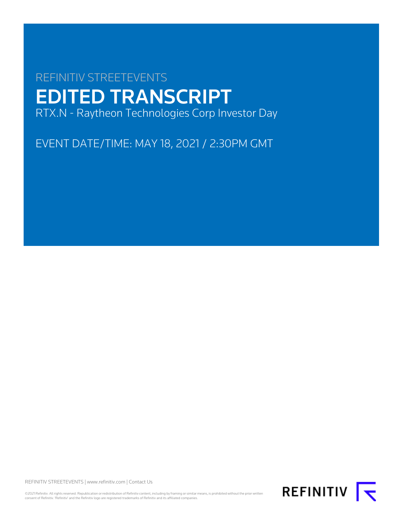# REFINITIV STREETEVENTS EDITED TRANSCRIPT RTX.N - Raytheon Technologies Corp Investor Day

EVENT DATE/TIME: MAY 18, 2021 / 2:30PM GMT

REFINITIV STREETEVENTS | [www.refinitiv.com](https://www.refinitiv.com/) | [Contact Us](https://www.refinitiv.com/en/contact-us)

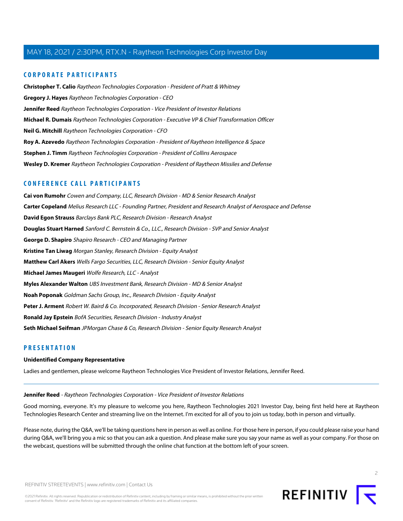### **CORPORATE PARTICIPANTS**

**[Christopher T. Calio](#page-29-0)** Raytheon Technologies Corporation - President of Pratt & Whitney **[Gregory J. Hayes](#page-2-0)** Raytheon Technologies Corporation - CEO **[Jennifer Reed](#page-1-0)** Raytheon Technologies Corporation - Vice President of Investor Relations **[Michael R. Dumais](#page-20-0)** Raytheon Technologies Corporation - Executive VP & Chief Transformation Officer **[Neil G. Mitchill](#page-37-0)** Raytheon Technologies Corporation - CFO **[Roy A. Azevedo](#page-13-0)** Raytheon Technologies Corporation - President of Raytheon Intelligence & Space **[Stephen J. Timm](#page-5-0)** Raytheon Technologies Corporation - President of Collins Aerospace **[Wesley D. Kremer](#page-22-0)** Raytheon Technologies Corporation - President of Raytheon Missiles and Defense

### **CONFERENCE CALL PARTICIPANTS**

**[Cai von Rumohr](#page-17-0)** Cowen and Company, LLC, Research Division - MD & Senior Research Analyst **[Carter Copeland](#page-9-0)** Melius Research LLC - Founding Partner, President and Research Analyst of Aerospace and Defense **[David Egon Strauss](#page-10-0)** Barclays Bank PLC, Research Division - Research Analyst **[Douglas Stuart Harned](#page-18-0)** Sanford C. Bernstein & Co., LLC., Research Division - SVP and Senior Analyst **[George D. Shapiro](#page-17-1)** Shapiro Research - CEO and Managing Partner **[Kristine Tan Liwag](#page-19-0)** Morgan Stanley, Research Division - Equity Analyst **[Matthew Carl Akers](#page-36-0)** Wells Fargo Securities, LLC, Research Division - Senior Equity Analyst **[Michael James Maugeri](#page-16-0)** Wolfe Research, LLC - Analyst **[Myles Alexander Walton](#page-27-0)** UBS Investment Bank, Research Division - MD & Senior Analyst **[Noah Poponak](#page-11-0)** Goldman Sachs Group, Inc., Research Division - Equity Analyst **[Peter J. Arment](#page-11-1)** Robert W. Baird & Co. Incorporated, Research Division - Senior Research Analyst **[Ronald Jay Epstein](#page-12-0)** BofA Securities, Research Division - Industry Analyst **[Seth Michael Seifman](#page-27-1)** JPMorgan Chase & Co, Research Division - Senior Equity Research Analyst

# **PRESENTATION**

#### <span id="page-1-0"></span>**Unidentified Company Representative**

Ladies and gentlemen, please welcome Raytheon Technologies Vice President of Investor Relations, Jennifer Reed.

#### **Jennifer Reed** - Raytheon Technologies Corporation - Vice President of Investor Relations

Good morning, everyone. It's my pleasure to welcome you here, Raytheon Technologies 2021 Investor Day, being first held here at Raytheon Technologies Research Center and streaming live on the Internet. I'm excited for all of you to join us today, both in person and virtually.

Please note, during the Q&A, we'll be taking questions here in person as well as online. For those here in person, if you could please raise your hand during Q&A, we'll bring you a mic so that you can ask a question. And please make sure you say your name as well as your company. For those on the webcast, questions will be submitted through the online chat function at the bottom left of your screen.

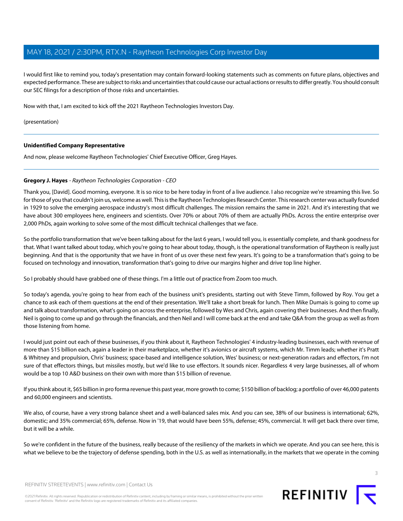I would first like to remind you, today's presentation may contain forward-looking statements such as comments on future plans, objectives and expected performance. These are subject to risks and uncertainties that could cause our actual actions or results to differ greatly. You should consult our SEC filings for a description of those risks and uncertainties.

Now with that, I am excited to kick off the 2021 Raytheon Technologies Investors Day.

(presentation)

### **Unidentified Company Representative**

<span id="page-2-0"></span>And now, please welcome Raytheon Technologies' Chief Executive Officer, Greg Hayes.

### **Gregory J. Hayes** - Raytheon Technologies Corporation - CEO

Thank you, [David]. Good morning, everyone. It is so nice to be here today in front of a live audience. I also recognize we're streaming this live. So for those of you that couldn't join us, welcome as well. This is the Raytheon Technologies Research Center. This research center was actually founded in 1929 to solve the emerging aerospace industry's most difficult challenges. The mission remains the same in 2021. And it's interesting that we have about 300 employees here, engineers and scientists. Over 70% or about 70% of them are actually PhDs. Across the entire enterprise over 2,000 PhDs, again working to solve some of the most difficult technical challenges that we face.

So the portfolio transformation that we've been talking about for the last 6 years, I would tell you, is essentially complete, and thank goodness for that. What I want talked about today, which you're going to hear about today, though, is the operational transformation of Raytheon is really just beginning. And that is the opportunity that we have in front of us over these next few years. It's going to be a transformation that's going to be focused on technology and innovation, transformation that's going to drive our margins higher and drive top line higher.

So I probably should have grabbed one of these things. I'm a little out of practice from Zoom too much.

So today's agenda, you're going to hear from each of the business unit's presidents, starting out with Steve Timm, followed by Roy. You get a chance to ask each of them questions at the end of their presentation. We'll take a short break for lunch. Then Mike Dumais is going to come up and talk about transformation, what's going on across the enterprise, followed by Wes and Chris, again covering their businesses. And then finally, Neil is going to come up and go through the financials, and then Neil and I will come back at the end and take Q&A from the group as well as from those listening from home.

I would just point out each of these businesses, if you think about it, Raytheon Technologies' 4 industry-leading businesses, each with revenue of more than \$15 billion each, again a leader in their marketplace, whether it's avionics or aircraft systems, which Mr. Timm leads; whether it's Pratt & Whitney and propulsion, Chris' business; space-based and intelligence solution, Wes' business; or next-generation radars and effectors, I'm not sure of that effectors things, but missiles mostly, but we'd like to use effectors. It sounds nicer. Regardless 4 very large businesses, all of whom would be a top 10 A&D business on their own with more than \$15 billion of revenue.

If you think about it, \$65 billion in pro forma revenue this past year, more growth to come; \$150 billion of backlog; a portfolio of over 46,000 patents and 60,000 engineers and scientists.

We also, of course, have a very strong balance sheet and a well-balanced sales mix. And you can see, 38% of our business is international; 62%, domestic; and 35% commercial; 65%, defense. Now in '19, that would have been 55%, defense; 45%, commercial. It will get back there over time, but it will be a while.

So we're confident in the future of the business, really because of the resiliency of the markets in which we operate. And you can see here, this is what we believe to be the trajectory of defense spending, both in the U.S. as well as internationally, in the markets that we operate in the coming



REFINITIV STREETEVENTS | [www.refinitiv.com](https://www.refinitiv.com/) | [Contact Us](https://www.refinitiv.com/en/contact-us)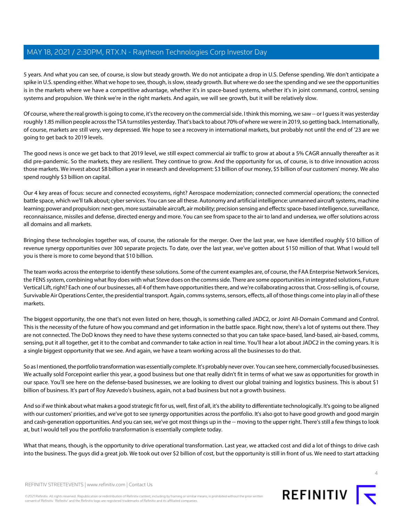5 years. And what you can see, of course, is slow but steady growth. We do not anticipate a drop in U.S. Defense spending. We don't anticipate a spike in U.S. spending either. What we hope to see, though, is slow, steady growth. But where we do see the spending and we see the opportunities is in the markets where we have a competitive advantage, whether it's in space-based systems, whether it's in joint command, control, sensing systems and propulsion. We think we're in the right markets. And again, we will see growth, but it will be relatively slow.

Of course, where the real growth is going to come, it's the recovery on the commercial side. I think this morning, we saw -- or I guess it was yesterday roughly 1.85 million people across the TSA turnstiles yesterday. That's back to about 70% of where we were in 2019, so getting back. Internationally, of course, markets are still very, very depressed. We hope to see a recovery in international markets, but probably not until the end of '23 are we going to get back to 2019 levels.

The good news is once we get back to that 2019 level, we still expect commercial air traffic to grow at about a 5% CAGR annually thereafter as it did pre-pandemic. So the markets, they are resilient. They continue to grow. And the opportunity for us, of course, is to drive innovation across those markets. We invest about \$8 billion a year in research and development: \$3 billion of our money, \$5 billion of our customers' money. We also spend roughly \$3 billion on capital.

Our 4 key areas of focus: secure and connected ecosystems, right? Aerospace modernization; connected commercial operations; the connected battle space, which we'll talk about; cyber services. You can see all these. Autonomy and artificial intelligence: unmanned aircraft systems, machine learning; power and propulsion: next-gen, more sustainable aircraft, air mobility; precision sensing and effects: space-based intelligence, surveillance, reconnaissance, missiles and defense, directed energy and more. You can see from space to the air to land and undersea, we offer solutions across all domains and all markets.

Bringing these technologies together was, of course, the rationale for the merger. Over the last year, we have identified roughly \$10 billion of revenue synergy opportunities over 300 separate projects. To date, over the last year, we've gotten about \$150 million of that. What I would tell you is there is more to come beyond that \$10 billion.

The team works across the enterprise to identify these solutions. Some of the current examples are, of course, the FAA Enterprise Network Services, the FENS system, combining what Roy does with what Steve does on the comms side. There are some opportunities in integrated solutions, Future Vertical Lift, right? Each one of our businesses, all 4 of them have opportunities there, and we're collaborating across that. Cross-selling is, of course, Survivable Air Operations Center, the presidential transport. Again, comms systems, sensors, effects, all of those things come into play in all of these markets.

The biggest opportunity, the one that's not even listed on here, though, is something called JADC2, or Joint All-Domain Command and Control. This is the necessity of the future of how you command and get information in the battle space. Right now, there's a lot of systems out there. They are not connected. The DoD knows they need to have these systems connected so that you can take space-based, land-based, air-based, comms, sensing, put it all together, get it to the combat and commander to take action in real time. You'll hear a lot about JADC2 in the coming years. It is a single biggest opportunity that we see. And again, we have a team working across all the businesses to do that.

So as I mentioned, the portfolio transformation was essentially complete. It's probably never over. You can see here, commercially focused businesses. We actually sold Forcepoint earlier this year, a good business but one that really didn't fit in terms of what we saw as opportunities for growth in our space. You'll see here on the defense-based businesses, we are looking to divest our global training and logistics business. This is about \$1 billion of business. It's part of Roy Azevedo's business, again, not a bad business but not a growth business.

And so if we think about what makes a good strategic fit for us, well, first of all, it's the ability to differentiate technologically. It's going to be aligned with our customers' priorities, and we've got to see synergy opportunities across the portfolio. It's also got to have good growth and good margin and cash-generation opportunities. And you can see, we've got most things up in the -- moving to the upper right. There's still a few things to look at, but I would tell you the portfolio transformation is essentially complete today.

What that means, though, is the opportunity to drive operational transformation. Last year, we attacked cost and did a lot of things to drive cash into the business. The guys did a great job. We took out over \$2 billion of cost, but the opportunity is still in front of us. We need to start attacking



 $\Delta$ 

REFINITIV STREETEVENTS | [www.refinitiv.com](https://www.refinitiv.com/) | [Contact Us](https://www.refinitiv.com/en/contact-us)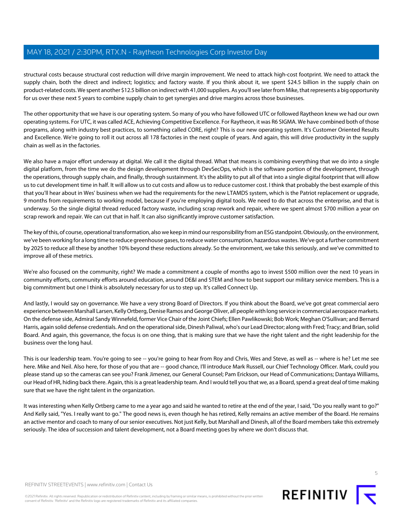structural costs because structural cost reduction will drive margin improvement. We need to attack high-cost footprint. We need to attack the supply chain, both the direct and indirect; logistics; and factory waste. If you think about it, we spent \$24.5 billion in the supply chain on product-related costs. We spent another \$12.5 billion on indirect with 41,000 suppliers. As you'll see later from Mike, that represents a big opportunity for us over these next 5 years to combine supply chain to get synergies and drive margins across those businesses.

The other opportunity that we have is our operating system. So many of you who have followed UTC or followed Raytheon knew we had our own operating systems. For UTC, it was called ACE, Achieving Competitive Excellence. For Raytheon, it was R6 SIGMA. We have combined both of those programs, along with industry best practices, to something called CORE, right? This is our new operating system. It's Customer Oriented Results and Excellence. We're going to roll it out across all 178 factories in the next couple of years. And again, this will drive productivity in the supply chain as well as in the factories.

We also have a major effort underway at digital. We call it the digital thread. What that means is combining everything that we do into a single digital platform, from the time we do the design development through DevSecOps, which is the software portion of the development, through the operations, through supply chain, and finally, through sustainment. It's the ability to put all of that into a single digital footprint that will allow us to cut development time in half. It will allow us to cut costs and allow us to reduce customer cost. I think that probably the best example of this that you'll hear about in Wes' business when we had the requirements for the new LTAMDS system, which is the Patriot replacement or upgrade, 9 months from requirements to working model, because if you're employing digital tools. We need to do that across the enterprise, and that is underway. So the single digital thread reduced factory waste, including scrap rework and repair, where we spent almost \$700 million a year on scrap rework and repair. We can cut that in half. It can also significantly improve customer satisfaction.

The key of this, of course, operational transformation, also we keep in mind our responsibility from an ESG standpoint. Obviously, on the environment, we've been working for a long time to reduce greenhouse gases, to reduce water consumption, hazardous wastes. We've got a further commitment by 2025 to reduce all these by another 10% beyond these reductions already. So the environment, we take this seriously, and we've committed to improve all of these metrics.

We're also focused on the community, right? We made a commitment a couple of months ago to invest \$500 million over the next 10 years in community efforts, community efforts around education, around DE&I and STEM and how to best support our military service members. This is a big commitment but one I think is absolutely necessary for us to step up. It's called Connect Up.

And lastly, I would say on governance. We have a very strong Board of Directors. If you think about the Board, we've got great commercial aero experience between Marshall Larsen, Kelly Ortberg, Denise Ramos and George Oliver, all people with long service in commercial aerospace markets. On the defense side, Admiral Sandy Winnefeld, former Vice Chair of the Joint Chiefs; Ellen Pawlikowski; Bob Work; Meghan O'Sullivan; and Bernard Harris, again solid defense credentials. And on the operational side, Dinesh Paliwal, who's our Lead Director; along with Fred; Tracy; and Brian, solid Board. And again, this governance, the focus is on one thing, that is making sure that we have the right talent and the right leadership for the business over the long haul.

This is our leadership team. You're going to see -- you're going to hear from Roy and Chris, Wes and Steve, as well as -- where is he? Let me see here. Mike and Neil. Also here, for those of you that are -- good chance, I'll introduce Mark Russell, our Chief Technology Officer. Mark, could you please stand up so the cameras can see you? Frank Jimenez, our General Counsel; Pam Erickson, our Head of Communications; Dantaya Williams, our Head of HR, hiding back there. Again, this is a great leadership team. And I would tell you that we, as a Board, spend a great deal of time making sure that we have the right talent in the organization.

It was interesting when Kelly Ortberg came to me a year ago and said he wanted to retire at the end of the year, I said, "Do you really want to go?" And Kelly said, "Yes. I really want to go." The good news is, even though he has retired, Kelly remains an active member of the Board. He remains an active mentor and coach to many of our senior executives. Not just Kelly, but Marshall and Dinesh, all of the Board members take this extremely seriously. The idea of succession and talent development, not a Board meeting goes by where we don't discuss that.



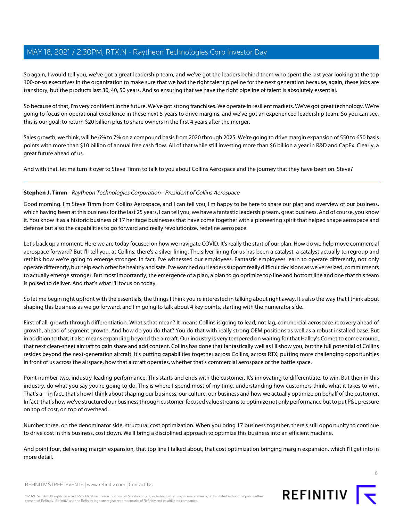So again, I would tell you, we've got a great leadership team, and we've got the leaders behind them who spent the last year looking at the top 100-or-so executives in the organization to make sure that we had the right talent pipeline for the next generation because, again, these jobs are transitory, but the products last 30, 40, 50 years. And so ensuring that we have the right pipeline of talent is absolutely essential.

So because of that, I'm very confident in the future. We've got strong franchises. We operate in resilient markets. We've got great technology. We're going to focus on operational excellence in these next 5 years to drive margins, and we've got an experienced leadership team. So you can see, this is our goal: to return \$20 billion plus to share owners in the first 4 years after the merger.

Sales growth, we think, will be 6% to 7% on a compound basis from 2020 through 2025. We're going to drive margin expansion of 550 to 650 basis points with more than \$10 billion of annual free cash flow. All of that while still investing more than \$6 billion a year in R&D and CapEx. Clearly, a great future ahead of us.

<span id="page-5-0"></span>And with that, let me turn it over to Steve Timm to talk to you about Collins Aerospace and the journey that they have been on. Steve?

### **Stephen J. Timm** - Raytheon Technologies Corporation - President of Collins Aerospace

Good morning. I'm Steve Timm from Collins Aerospace, and I can tell you, I'm happy to be here to share our plan and overview of our business, which having been at this business for the last 25 years, I can tell you, we have a fantastic leadership team, great business. And of course, you know it. You know it as a historic business of 17 heritage businesses that have come together with a pioneering spirit that helped shape aerospace and defense but also the capabilities to go forward and really revolutionize, redefine aerospace.

Let's back up a moment. Here we are today focused on how we navigate COVID. It's really the start of our plan. How do we help move commercial aerospace forward? But I'll tell you, at Collins, there's a silver lining. The silver lining for us has been a catalyst, a catalyst actually to regroup and rethink how we're going to emerge stronger. In fact, I've witnessed our employees. Fantastic employees learn to operate differently, not only operate differently, but help each other be healthy and safe. I've watched our leaders support really difficult decisions as we've resized, commitments to actually emerge stronger. But most importantly, the emergence of a plan, a plan to go optimize top line and bottom line and one that this team is poised to deliver. And that's what I'll focus on today.

So let me begin right upfront with the essentials, the things I think you're interested in talking about right away. It's also the way that I think about shaping this business as we go forward, and I'm going to talk about 4 key points, starting with the numerator side.

First of all, growth through differentiation. What's that mean? It means Collins is going to lead, not lag, commercial aerospace recovery ahead of growth, ahead of segment growth. And how do you do that? You do that with really strong OEM positions as well as a robust installed base. But in addition to that, it also means expanding beyond the aircraft. Our industry is very tempered on waiting for that Halley's Comet to come around, that next clean-sheet aircraft to gain share and add content. Collins has done that fantastically well as I'll show you, but the full potential of Collins resides beyond the next-generation aircraft. It's putting capabilities together across Collins, across RTX; putting more challenging opportunities in front of us across the airspace, how that aircraft operates, whether that's commercial aerospace or the battle space.

Point number two, industry-leading performance. This starts and ends with the customer. It's innovating to differentiate, to win. But then in this industry, do what you say you're going to do. This is where I spend most of my time, understanding how customers think, what it takes to win. That's a -- in fact, that's how I think about shaping our business, our culture, our business and how we actually optimize on behalf of the customer. In fact, that's how we've structured our business through customer-focused value streams to optimize not only performance but to put P&L pressure on top of cost, on top of overhead.

Number three, on the denominator side, structural cost optimization. When you bring 17 business together, there's still opportunity to continue to drive cost in this business, cost down. We'll bring a disciplined approach to optimize this business into an efficient machine.

And point four, delivering margin expansion, that top line I talked about, that cost optimization bringing margin expansion, which I'll get into in more detail.



REFINITIV STREETEVENTS | [www.refinitiv.com](https://www.refinitiv.com/) | [Contact Us](https://www.refinitiv.com/en/contact-us)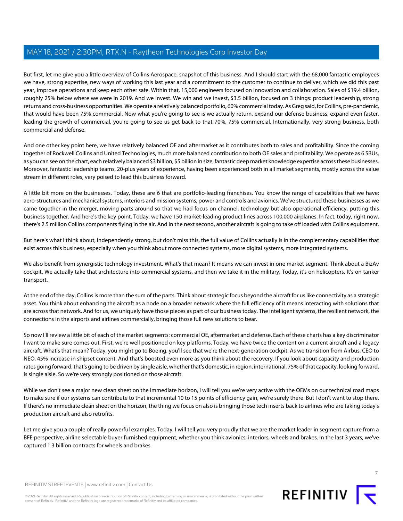But first, let me give you a little overview of Collins Aerospace, snapshot of this business. And I should start with the 68,000 fantastic employees we have, strong expertise, new ways of working this last year and a commitment to the customer to continue to deliver, which we did this past year, improve operations and keep each other safe. Within that, 15,000 engineers focused on innovation and collaboration. Sales of \$19.4 billion, roughly 25% below where we were in 2019. And we invest. We win and we invest, \$3.5 billion, focused on 3 things: product leadership, strong returns and cross-business opportunities. We operate a relatively balanced portfolio, 60% commercial today. As Greg said, for Collins, pre-pandemic, that would have been 75% commercial. Now what you're going to see is we actually return, expand our defense business, expand even faster, leading the growth of commercial, you're going to see us get back to that 70%, 75% commercial. Internationally, very strong business, both commercial and defense.

And one other key point here, we have relatively balanced OE and aftermarket as it contributes both to sales and profitability. Since the coming together of Rockwell Collins and United Technologies, much more balanced contribution to both OE sales and profitability. We operate as 6 SBUs, as you can see on the chart, each relatively balanced \$3 billion, \$5 billion in size, fantastic deep market knowledge expertise across these businesses. Moreover, fantastic leadership teams, 20-plus years of experience, having been experienced both in all market segments, mostly across the value stream in different roles, very poised to lead this business forward.

A little bit more on the businesses. Today, these are 6 that are portfolio-leading franchises. You know the range of capabilities that we have: aero-structures and mechanical systems, interiors and mission systems, power and controls and avionics. We've structured these businesses as we came together in the merger, moving parts around so that we had focus on channel, technology but also operational efficiency, putting this business together. And here's the key point. Today, we have 150 market-leading product lines across 100,000 airplanes. In fact, today, right now, there's 2.5 million Collins components flying in the air. And in the next second, another aircraft is going to take off loaded with Collins equipment.

But here's what I think about, independently strong, but don't miss this, the full value of Collins actually is in the complementary capabilities that exist across this business, especially when you think about more connected systems, more digital systems, more integrated systems.

We also benefit from synergistic technology investment. What's that mean? It means we can invest in one market segment. Think about a BizAv cockpit. We actually take that architecture into commercial systems, and then we take it in the military. Today, it's on helicopters. It's on tanker transport.

At the end of the day, Collins is more than the sum of the parts. Think about strategic focus beyond the aircraft for us like connectivity as a strategic asset. You think about enhancing the aircraft as a node on a broader network where the full efficiency of it means interacting with solutions that are across that network. And for us, we uniquely have those pieces as part of our business today. The intelligent systems, the resilient network, the connections in the airports and airlines commercially, bringing those full new solutions to bear.

So now I'll review a little bit of each of the market segments: commercial OE, aftermarket and defense. Each of these charts has a key discriminator I want to make sure comes out. First, we're well positioned on key platforms. Today, we have twice the content on a current aircraft and a legacy aircraft. What's that mean? Today, you might go to Boeing, you'll see that we're the next-generation cockpit. As we transition from Airbus, CEO to NEO, 45% increase in shipset content. And that's boosted even more as you think about the recovery. If you look about capacity and production rates going forward, that's going to be driven by single aisle, whether that's domestic, in region, international, 75% of that capacity, looking forward, is single aisle. So we're very strongly positioned on those aircraft.

While we don't see a major new clean sheet on the immediate horizon, I will tell you we're very active with the OEMs on our technical road maps to make sure if our systems can contribute to that incremental 10 to 15 points of efficiency gain, we're surely there. But I don't want to stop there. If there's no immediate clean sheet on the horizon, the thing we focus on also is bringing those tech inserts back to airlines who are taking today's production aircraft and also retrofits.

Let me give you a couple of really powerful examples. Today, I will tell you very proudly that we are the market leader in segment capture from a BFE perspective, airline selectable buyer furnished equipment, whether you think avionics, interiors, wheels and brakes. In the last 3 years, we've captured 1.3 billion contracts for wheels and brakes.

©2021 Refinitiv. All rights reserved. Republication or redistribution of Refinitiv content, including by framing or similar means, is prohibited without the prior written consent of Refinitiv. 'Refinitiv' and the Refinitiv logo are registered trademarks of Refinitiv and its affiliated companies.



REFINITIV **I**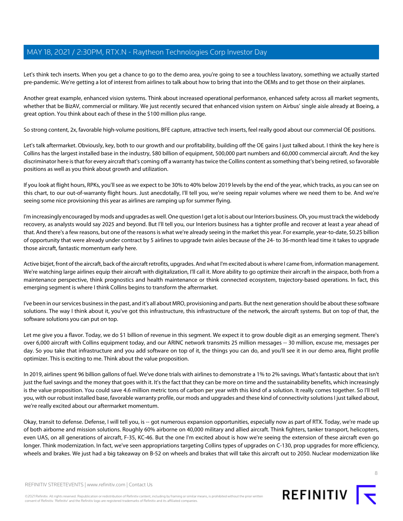Let's think tech inserts. When you get a chance to go to the demo area, you're going to see a touchless lavatory, something we actually started pre-pandemic. We're getting a lot of interest from airlines to talk about how to bring that into the OEMs and to get those on their airplanes.

Another great example, enhanced vision systems. Think about increased operational performance, enhanced safety across all market segments, whether that be BizAV, commercial or military. We just recently secured that enhanced vision system on Airbus' single aisle already at Boeing, a great option. You think about each of these in the \$100 million plus range.

So strong content, 2x, favorable high-volume positions, BFE capture, attractive tech inserts, feel really good about our commercial OE positions.

Let's talk aftermarket. Obviously, key, both to our growth and our profitability, building off the OE gains I just talked about. I think the key here is Collins has the largest installed base in the industry, \$80 billion of equipment, 500,000 part numbers and 60,000 commercial aircraft. And the key discriminator here is that for every aircraft that's coming off a warranty has twice the Collins content as something that's being retired, so favorable positions as well as you think about growth and utilization.

If you look at flight hours, RPKs, you'll see as we expect to be 30% to 40% below 2019 levels by the end of the year, which tracks, as you can see on this chart, to our out-of-warranty flight hours. Just anecdotally, I'll tell you, we're seeing repair volumes where we need them to be. And we're seeing some nice provisioning this year as airlines are ramping up for summer flying.

I'm increasingly encouraged by mods and upgrades as well. One question I get a lot is about our Interiors business. Oh, you must track the widebody recovery, as analysts would say 2025 and beyond. But I'll tell you, our Interiors business has a tighter profile and recover at least a year ahead of that. And there's a few reasons, but one of the reasons is what we're already seeing in the market this year. For example, year-to-date, \$0.25 billion of opportunity that were already under contract by 5 airlines to upgrade twin aisles because of the 24- to 36-month lead time it takes to upgrade those aircraft, fantastic momentum early here.

Active bizjet, front of the aircraft, back of the aircraft retrofits, upgrades. And what I'm excited about is where I came from, information management. We're watching large airlines equip their aircraft with digitalization, I'll call it. More ability to go optimize their aircraft in the airspace, both from a maintenance perspective, think prognostics and health maintenance or think connected ecosystem, trajectory-based operations. In fact, this emerging segment is where I think Collins begins to transform the aftermarket.

I've been in our services business in the past, and it's all about MRO, provisioning and parts. But the next generation should be about these software solutions. The way I think about it, you've got this infrastructure, this infrastructure of the network, the aircraft systems. But on top of that, the software solutions you can put on top.

Let me give you a flavor. Today, we do \$1 billion of revenue in this segment. We expect it to grow double digit as an emerging segment. There's over 6,000 aircraft with Collins equipment today, and our ARINC network transmits 25 million messages -- 30 million, excuse me, messages per day. So you take that infrastructure and you add software on top of it, the things you can do, and you'll see it in our demo area, flight profile optimizer. This is exciting to me. Think about the value proposition.

In 2019, airlines spent 96 billion gallons of fuel. We've done trials with airlines to demonstrate a 1% to 2% savings. What's fantastic about that isn't just the fuel savings and the money that goes with it. It's the fact that they can be more on time and the sustainability benefits, which increasingly is the value proposition. You could save 4.6 million metric tons of carbon per year with this kind of a solution. It really comes together. So I'll tell you, with our robust installed base, favorable warranty profile, our mods and upgrades and these kind of connectivity solutions I just talked about, we're really excited about our aftermarket momentum.

Okay, transit to defense. Defense, I will tell you, is -- got numerous expansion opportunities, especially now as part of RTX. Today, we're made up of both airborne and mission solutions. Roughly 60% airborne on 40,000 military and allied aircraft. Think fighters, tanker transport, helicopters, even UAS, on all generations of aircraft, F-35, KC-46. But the one I'm excited about is how we're seeing the extension of these aircraft even go longer. Think modernization. In fact, we've seen appropriations targeting Collins types of upgrades on C-130, prop upgrades for more efficiency, wheels and brakes. We just had a big takeaway on B-52 on wheels and brakes that will take this aircraft out to 2050. Nuclear modernization like

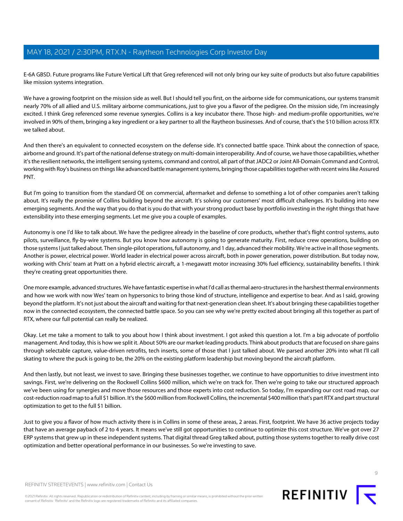E-6A GBSD. Future programs like Future Vertical Lift that Greg referenced will not only bring our key suite of products but also future capabilities like mission systems integration.

We have a growing footprint on the mission side as well. But I should tell you first, on the airborne side for communications, our systems transmit nearly 70% of all allied and U.S. military airborne communications, just to give you a flavor of the pedigree. On the mission side, I'm increasingly excited. I think Greg referenced some revenue synergies. Collins is a key incubator there. Those high- and medium-profile opportunities, we're involved in 90% of them, bringing a key ingredient or a key partner to all the Raytheon businesses. And of course, that's the \$10 billion across RTX we talked about.

And then there's an equivalent to connected ecosystem on the defense side. It's connected battle space. Think about the connection of space, airborne and ground. It's part of the national defense strategy on multi-domain interoperability. And of course, we have those capabilities, whether it's the resilient networks, the intelligent sensing systems, command and control, all part of that JADC2 or Joint All-Domain Command and Control, working with Roy's business on things like advanced battle management systems, bringing those capabilities together with recent wins like Assured PNT.

But I'm going to transition from the standard OE on commercial, aftermarket and defense to something a lot of other companies aren't talking about. It's really the promise of Collins building beyond the aircraft. It's solving our customers' most difficult challenges. It's building into new emerging segments. And the way that you do that is you do that with your strong product base by portfolio investing in the right things that have extensibility into these emerging segments. Let me give you a couple of examples.

Autonomy is one I'd like to talk about. We have the pedigree already in the baseline of core products, whether that's flight control systems, auto pilots, surveillance, fly-by-wire systems. But you know how autonomy is going to generate maturity. First, reduce crew operations, building on those systems I just talked about. Then single-pilot operations, full autonomy, and 1 day, advanced their mobility. We're active in all those segments. Another is power, electrical power. World leader in electrical power across aircraft, both in power generation, power distribution. But today now, working with Chris' team at Pratt on a hybrid electric aircraft, a 1-megawatt motor increasing 30% fuel efficiency, sustainability benefits. I think they're creating great opportunities there.

One more example, advanced structures. We have fantastic expertise in what I'd call as thermal aero-structures in the harshest thermal environments and how we work with now Wes' team on hypersonics to bring those kind of structure, intelligence and expertise to bear. And as I said, growing beyond the platform. It's not just about the aircraft and waiting for that next-generation clean sheet. It's about bringing these capabilities together now in the connected ecosystem, the connected battle space. So you can see why we're pretty excited about bringing all this together as part of RTX, where our full potential can really be realized.

Okay. Let me take a moment to talk to you about how I think about investment. I got asked this question a lot. I'm a big advocate of portfolio management. And today, this is how we split it. About 50% are our market-leading products. Think about products that are focused on share gains through selectable capture, value-driven retrofits, tech inserts, some of those that I just talked about. We parsed another 20% into what I'll call skating to where the puck is going to be, the 20% on the existing platform leadership but moving beyond the aircraft platform.

And then lastly, but not least, we invest to save. Bringing these businesses together, we continue to have opportunities to drive investment into savings. First, we're delivering on the Rockwell Collins \$600 million, which we're on track for. Then we're going to take our structured approach we've been using for synergies and move those resources and those experts into cost reduction. So today, I'm expanding our cost road map, our cost-reduction road map to a full \$1 billion. It's the \$600 million from Rockwell Collins, the incremental \$400 million that's part RTX and part structural optimization to get to the full \$1 billion.

Just to give you a flavor of how much activity there is in Collins in some of these areas, 2 areas. First, footprint. We have 36 active projects today that have an average payback of 2 to 4 years. It means we've still got opportunities to continue to optimize this cost structure. We've got over 27 ERP systems that grew up in these independent systems. That digital thread Greg talked about, putting those systems together to really drive cost optimization and better operational performance in our businesses. So we're investing to save.

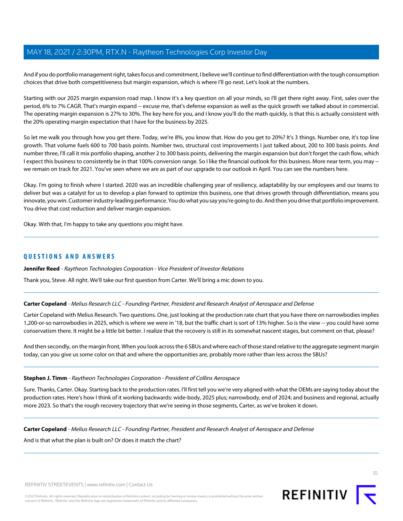And if you do portfolio management right, takes focus and commitment, I believe we'll continue to find differentiation with the tough consumption choices that drive both competitiveness but margin expansion, which is where I'll go next. Let's look at the numbers.

Starting with our 2025 margin expansion road map. I know it's a key question on all your minds, so I'll get there right away. First, sales over the period, 6% to 7% CAGR. That's margin expand -- excuse me, that's defense expansion as well as the quick growth we talked about in commercial. The operating margin expansion is 27% to 30%. The key here for you, and I know you'll do the math quickly, is that this is actually consistent with the 20% operating margin expectation that I have for the business by 2025.

So let me walk you through how you get there. Today, we're 8%, you know that. How do you get to 20%? It's 3 things. Number one, it's top line growth. That volume fuels 600 to 700 basis points. Number two, structural cost improvements I just talked about, 200 to 300 basis points. And number three, I'll call it mix portfolio shaping, another 2 to 300 basis points, delivering the margin expansion but don't forget the cash flow, which I expect this business to consistently be in that 100% conversion range. So I like the financial outlook for this business. More near term, you may - we remain on track for 2021. You've seen where we are as part of our upgrade to our outlook in April. You can see the numbers here.

Okay. I'm going to finish where I started. 2020 was an incredible challenging year of resiliency, adaptability by our employees and our teams to deliver but was a catalyst for us to develop a plan forward to optimize this business, one that drives growth through differentiation, means you innovate, you win. Customer industry-leading performance. You do what you say you're going to do. And then you drive that portfolio improvement. You drive that cost reduction and deliver margin expansion.

Okay. With that, I'm happy to take any questions you might have.

## **QUESTIONS AND ANSWERS**

<span id="page-9-0"></span>**Jennifer Reed** - Raytheon Technologies Corporation - Vice President of Investor Relations

Thank you, Steve. All right. We'll take our first question from Carter. We'll bring a mic down to you.

### **Carter Copeland** - Melius Research LLC - Founding Partner, President and Research Analyst of Aerospace and Defense

Carter Copeland with Melius Research. Two questions. One, just looking at the production rate chart that you have there on narrowbodies implies 1,200-or-so narrowbodies in 2025, which is where we were in '18, but the traffic chart is sort of 13% higher. So is the view -- you could have some conservatism there. It might be a little bit better. I realize that the recovery is still in its somewhat nascent stages, but comment on that, please?

And then secondly, on the margin front, When you look across the 6 SBUs and where each of those stand relative to the aggregate segment margin today, can you give us some color on that and where the opportunities are, probably more rather than less across the SBUs?

#### **Stephen J. Timm** - Raytheon Technologies Corporation - President of Collins Aerospace

Sure. Thanks, Carter. Okay. Starting back to the production rates. I'll first tell you we're very aligned with what the OEMs are saying today about the production rates. Here's how I think of it working backwards: wide-body, 2025 plus; narrowbody, end of 2024; and business and regional, actually more 2023. So that's the rough recovery trajectory that we're seeing in those segments, Carter, as we've broken it down.

**Carter Copeland** - Melius Research LLC - Founding Partner, President and Research Analyst of Aerospace and Defense

And is that what the plan is built on? Or does it match the chart?

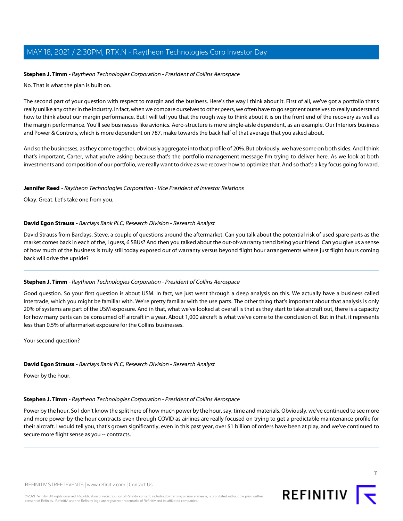### **Stephen J. Timm** - Raytheon Technologies Corporation - President of Collins Aerospace

No. That is what the plan is built on.

The second part of your question with respect to margin and the business. Here's the way I think about it. First of all, we've got a portfolio that's really unlike any other in the industry. In fact, when we compare ourselves to other peers, we often have to go segment ourselves to really understand how to think about our margin performance. But I will tell you that the rough way to think about it is on the front end of the recovery as well as the margin performance. You'll see businesses like avionics. Aero-structure is more single-aisle dependent, as an example. Our Interiors business and Power & Controls, which is more dependent on 787, make towards the back half of that average that you asked about.

And so the businesses, as they come together, obviously aggregate into that profile of 20%. But obviously, we have some on both sides. And I think that's important, Carter, what you're asking because that's the portfolio management message I'm trying to deliver here. As we look at both investments and composition of our portfolio, we really want to drive as we recover how to optimize that. And so that's a key focus going forward.

#### **Jennifer Reed** - Raytheon Technologies Corporation - Vice President of Investor Relations

<span id="page-10-0"></span>Okay. Great. Let's take one from you.

#### **David Egon Strauss** - Barclays Bank PLC, Research Division - Research Analyst

David Strauss from Barclays. Steve, a couple of questions around the aftermarket. Can you talk about the potential risk of used spare parts as the market comes back in each of the, I guess, 6 SBUs? And then you talked about the out-of-warranty trend being your friend. Can you give us a sense of how much of the business is truly still today exposed out of warranty versus beyond flight hour arrangements where just flight hours coming back will drive the upside?

#### **Stephen J. Timm** - Raytheon Technologies Corporation - President of Collins Aerospace

Good question. So your first question is about USM. In fact, we just went through a deep analysis on this. We actually have a business called Intertrade, which you might be familiar with. We're pretty familiar with the use parts. The other thing that's important about that analysis is only 20% of systems are part of the USM exposure. And in that, what we've looked at overall is that as they start to take aircraft out, there is a capacity for how many parts can be consumed off aircraft in a year. About 1,000 aircraft is what we've come to the conclusion of. But in that, it represents less than 0.5% of aftermarket exposure for the Collins businesses.

Your second question?

#### **David Egon Strauss** - Barclays Bank PLC, Research Division - Research Analyst

Power by the hour.

#### **Stephen J. Timm** - Raytheon Technologies Corporation - President of Collins Aerospace

Power by the hour. So I don't know the split here of how much power by the hour, say, time and materials. Obviously, we've continued to see more and more power-by-the-hour contracts even through COVID as airlines are really focused on trying to get a predictable maintenance profile for their aircraft. I would tell you, that's grown significantly, even in this past year, over \$1 billion of orders have been at play, and we've continued to secure more flight sense as you -- contracts.

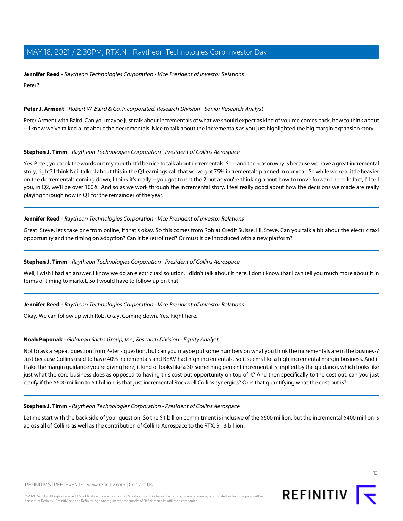### **Jennifer Reed** - Raytheon Technologies Corporation - Vice President of Investor Relations

Peter?

### <span id="page-11-1"></span>**Peter J. Arment** - Robert W. Baird & Co. Incorporated, Research Division - Senior Research Analyst

Peter Arment with Baird. Can you maybe just talk about incrementals of what we should expect as kind of volume comes back, how to think about -- I know we've talked a lot about the decrementals. Nice to talk about the incrementals as you just highlighted the big margin expansion story.

### **Stephen J. Timm** - Raytheon Technologies Corporation - President of Collins Aerospace

Yes. Peter, you took the words out my mouth. It'd be nice to talk about incrementals. So -- and the reason why is because we have a great incremental story, right? I think Neil talked about this in the Q1 earnings call that we've got 75% incrementals planned in our year. So while we're a little heavier on the decrementals coming down, I think it's really -- you got to net the 2 out as you're thinking about how to move forward here. In fact, I'll tell you, in Q2, we'll be over 100%. And so as we work through the incremental story, I feel really good about how the decisions we made are really playing through now in Q1 for the remainder of the year.

### **Jennifer Reed** - Raytheon Technologies Corporation - Vice President of Investor Relations

Great. Steve, let's take one from online, if that's okay. So this comes from Rob at Credit Suisse. Hi, Steve. Can you talk a bit about the electric taxi opportunity and the timing on adoption? Can it be retrofitted? Or must it be introduced with a new platform?

#### **Stephen J. Timm** - Raytheon Technologies Corporation - President of Collins Aerospace

Well, I wish I had an answer. I know we do an electric taxi solution. I didn't talk about it here. I don't know that I can tell you much more about it in terms of timing to market. So I would have to follow up on that.

### <span id="page-11-0"></span>**Jennifer Reed** - Raytheon Technologies Corporation - Vice President of Investor Relations

Okay. We can follow up with Rob. Okay. Coming down. Yes. Right here.

### **Noah Poponak** - Goldman Sachs Group, Inc., Research Division - Equity Analyst

Not to ask a repeat question from Peter's question, but can you maybe put some numbers on what you think the incrementals are in the business? Just because Collins used to have 40% incrementals and BEAV had high incrementals. So it seems like a high incremental margin business. And if I take the margin guidance you're giving here, it kind of looks like a 30-something percent incremental is implied by the guidance, which looks like just what the core business does as opposed to having this cost-out opportunity on top of it? And then specifically to the cost out, can you just clarify if the \$600 million to \$1 billion, is that just incremental Rockwell Collins synergies? Or is that quantifying what the cost out is?

#### **Stephen J. Timm** - Raytheon Technologies Corporation - President of Collins Aerospace

Let me start with the back side of your question. So the \$1 billion commitment is inclusive of the \$600 million, but the incremental \$400 million is across all of Collins as well as the contribution of Collins Aerospace to the RTX, \$1.3 billion.

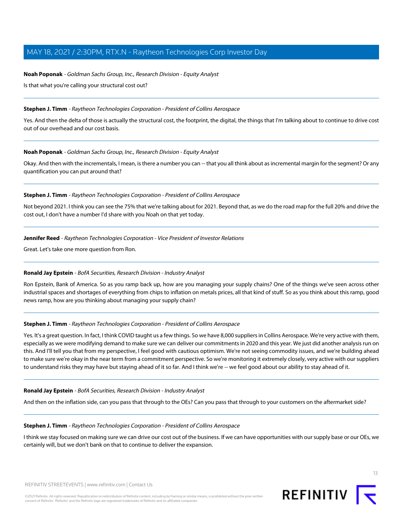#### **Noah Poponak** - Goldman Sachs Group, Inc., Research Division - Equity Analyst

Is that what you're calling your structural cost out?

#### **Stephen J. Timm** - Raytheon Technologies Corporation - President of Collins Aerospace

Yes. And then the delta of those is actually the structural cost, the footprint, the digital, the things that I'm talking about to continue to drive cost out of our overhead and our cost basis.

#### **Noah Poponak** - Goldman Sachs Group, Inc., Research Division - Equity Analyst

Okay. And then with the incrementals, I mean, is there a number you can -- that you all think about as incremental margin for the segment? Or any quantification you can put around that?

#### **Stephen J. Timm** - Raytheon Technologies Corporation - President of Collins Aerospace

Not beyond 2021. I think you can see the 75% that we're talking about for 2021. Beyond that, as we do the road map for the full 20% and drive the cost out, I don't have a number I'd share with you Noah on that yet today.

#### **Jennifer Reed** - Raytheon Technologies Corporation - Vice President of Investor Relations

<span id="page-12-0"></span>Great. Let's take one more question from Ron.

### **Ronald Jay Epstein** - BofA Securities, Research Division - Industry Analyst

Ron Epstein, Bank of America. So as you ramp back up, how are you managing your supply chains? One of the things we've seen across other industrial spaces and shortages of everything from chips to inflation on metals prices, all that kind of stuff. So as you think about this ramp, good news ramp, how are you thinking about managing your supply chain?

### **Stephen J. Timm** - Raytheon Technologies Corporation - President of Collins Aerospace

Yes. It's a great question. In fact, I think COVID taught us a few things. So we have 8,000 suppliers in Collins Aerospace. We're very active with them, especially as we were modifying demand to make sure we can deliver our commitments in 2020 and this year. We just did another analysis run on this. And I'll tell you that from my perspective, I feel good with cautious optimism. We're not seeing commodity issues, and we're building ahead to make sure we're okay in the near term from a commitment perspective. So we're monitoring it extremely closely, very active with our suppliers to understand risks they may have but staying ahead of it so far. And I think we're -- we feel good about our ability to stay ahead of it.

#### **Ronald Jay Epstein** - BofA Securities, Research Division - Industry Analyst

And then on the inflation side, can you pass that through to the OEs? Can you pass that through to your customers on the aftermarket side?

#### **Stephen J. Timm** - Raytheon Technologies Corporation - President of Collins Aerospace

I think we stay focused on making sure we can drive our cost out of the business. If we can have opportunities with our supply base or our OEs, we certainly will, but we don't bank on that to continue to deliver the expansion.

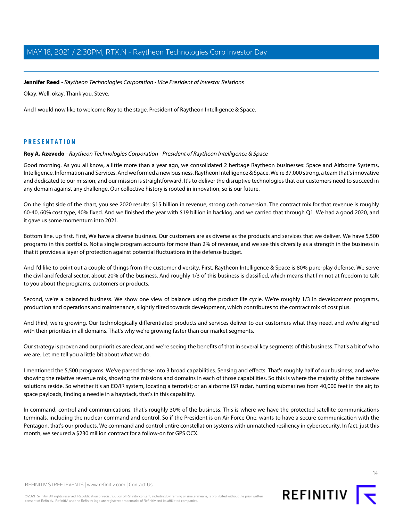**Jennifer Reed** - Raytheon Technologies Corporation - Vice President of Investor Relations

Okay. Well, okay. Thank you, Steve.

And I would now like to welcome Roy to the stage, President of Raytheon Intelligence & Space.

# <span id="page-13-0"></span>**PRESENTATION**

**Roy A. Azevedo** - Raytheon Technologies Corporation - President of Raytheon Intelligence & Space

Good morning. As you all know, a little more than a year ago, we consolidated 2 heritage Raytheon businesses: Space and Airborne Systems, Intelligence, Information and Services. And we formed a new business, Raytheon Intelligence & Space. We're 37,000 strong, a team that's innovative and dedicated to our mission, and our mission is straightforward. It's to deliver the disruptive technologies that our customers need to succeed in any domain against any challenge. Our collective history is rooted in innovation, so is our future.

On the right side of the chart, you see 2020 results: \$15 billion in revenue, strong cash conversion. The contract mix for that revenue is roughly 60-40, 60% cost type, 40% fixed. And we finished the year with \$19 billion in backlog, and we carried that through Q1. We had a good 2020, and it gave us some momentum into 2021.

Bottom line, up first. First, We have a diverse business. Our customers are as diverse as the products and services that we deliver. We have 5,500 programs in this portfolio. Not a single program accounts for more than 2% of revenue, and we see this diversity as a strength in the business in that it provides a layer of protection against potential fluctuations in the defense budget.

And I'd like to point out a couple of things from the customer diversity. First, Raytheon Intelligence & Space is 80% pure-play defense. We serve the civil and federal sector, about 20% of the business. And roughly 1/3 of this business is classified, which means that I'm not at freedom to talk to you about the programs, customers or products.

Second, we're a balanced business. We show one view of balance using the product life cycle. We're roughly 1/3 in development programs, production and operations and maintenance, slightly tilted towards development, which contributes to the contract mix of cost plus.

And third, we're growing. Our technologically differentiated products and services deliver to our customers what they need, and we're aligned with their priorities in all domains. That's why we're growing faster than our market segments.

Our strategy is proven and our priorities are clear, and we're seeing the benefits of that in several key segments of this business. That's a bit of who we are. Let me tell you a little bit about what we do.

I mentioned the 5,500 programs. We've parsed those into 3 broad capabilities. Sensing and effects. That's roughly half of our business, and we're showing the relative revenue mix, showing the missions and domains in each of those capabilities. So this is where the majority of the hardware solutions reside. So whether it's an EO/IR system, locating a terrorist; or an airborne ISR radar, hunting submarines from 40,000 feet in the air; to space payloads, finding a needle in a haystack, that's in this capability.

In command, control and communications, that's roughly 30% of the business. This is where we have the protected satellite communications terminals, including the nuclear command and control. So if the President is on Air Force One, wants to have a secure communication with the Pentagon, that's our products. We command and control entire constellation systems with unmatched resiliency in cybersecurity. In fact, just this month, we secured a \$230 million contract for a follow-on for GPS OCX.



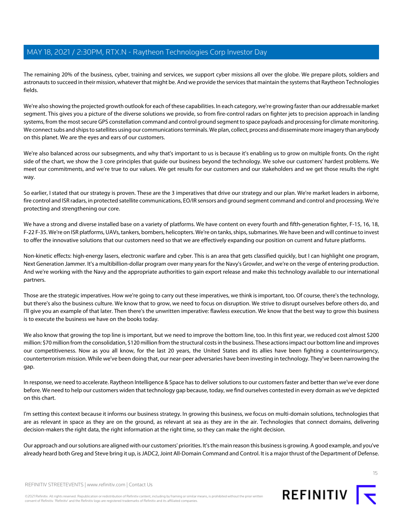The remaining 20% of the business, cyber, training and services, we support cyber missions all over the globe. We prepare pilots, soldiers and astronauts to succeed in their mission, whatever that might be. And we provide the services that maintain the systems that Raytheon Technologies fields.

We're also showing the projected growth outlook for each of these capabilities. In each category, we're growing faster than our addressable market segment. This gives you a picture of the diverse solutions we provide, so from fire-control radars on fighter jets to precision approach in landing systems, from the most secure GPS constellation command and control ground segment to space payloads and processing for climate monitoring. We connect subs and ships to satellites using our communications terminals. We plan, collect, process and disseminate more imagery than anybody on this planet. We are the eyes and ears of our customers.

We're also balanced across our subsegments, and why that's important to us is because it's enabling us to grow on multiple fronts. On the right side of the chart, we show the 3 core principles that guide our business beyond the technology. We solve our customers' hardest problems. We meet our commitments, and we're true to our values. We get results for our customers and our stakeholders and we get those results the right way.

So earlier, I stated that our strategy is proven. These are the 3 imperatives that drive our strategy and our plan. We're market leaders in airborne, fire control and ISR radars, in protected satellite communications, EO/IR sensors and ground segment command and control and processing. We're protecting and strengthening our core.

We have a strong and diverse installed base on a variety of platforms. We have content on every fourth and fifth-generation fighter, F-15, 16, 18, F-22 F-35. We're on ISR platforms, UAVs, tankers, bombers, helicopters. We're on tanks, ships, submarines. We have been and will continue to invest to offer the innovative solutions that our customers need so that we are effectively expanding our position on current and future platforms.

Non-kinetic effects: high-energy lasers, electronic warfare and cyber. This is an area that gets classified quickly, but I can highlight one program, Next Generation Jammer. It's a multibillion-dollar program over many years for the Navy's Growler, and we're on the verge of entering production. And we're working with the Navy and the appropriate authorities to gain export release and make this technology available to our international partners.

Those are the strategic imperatives. How we're going to carry out these imperatives, we think is important, too. Of course, there's the technology, but there's also the business culture. We know that to grow, we need to focus on disruption. We strive to disrupt ourselves before others do, and I'll give you an example of that later. Then there's the unwritten imperative: flawless execution. We know that the best way to grow this business is to execute the business we have on the books today.

We also know that growing the top line is important, but we need to improve the bottom line, too. In this first year, we reduced cost almost \$200 million: \$70 million from the consolidation, \$120 million from the structural costs in the business. These actions impact our bottom line and improves our competitiveness. Now as you all know, for the last 20 years, the United States and its allies have been fighting a counterinsurgency, counterterrorism mission. While we've been doing that, our near-peer adversaries have been investing in technology. They've been narrowing the gap.

In response, we need to accelerate. Raytheon Intelligence & Space has to deliver solutions to our customers faster and better than we've ever done before. We need to help our customers widen that technology gap because, today, we find ourselves contested in every domain as we've depicted on this chart.

I'm setting this context because it informs our business strategy. In growing this business, we focus on multi-domain solutions, technologies that are as relevant in space as they are on the ground, as relevant at sea as they are in the air. Technologies that connect domains, delivering decision-makers the right data, the right information at the right time, so they can make the right decision.

Our approach and our solutions are aligned with our customers' priorities. It's the main reason this business is growing. A good example, and you've already heard both Greg and Steve bring it up, is JADC2, Joint All-Domain Command and Control. It is a major thrust of the Department of Defense.



REFINITIV STREETEVENTS | [www.refinitiv.com](https://www.refinitiv.com/) | [Contact Us](https://www.refinitiv.com/en/contact-us)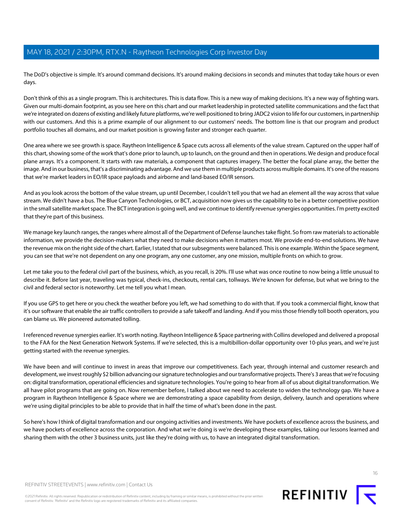The DoD's objective is simple. It's around command decisions. It's around making decisions in seconds and minutes that today take hours or even days.

Don't think of this as a single program. This is architectures. This is data flow. This is a new way of making decisions. It's a new way of fighting wars. Given our multi-domain footprint, as you see here on this chart and our market leadership in protected satellite communications and the fact that we're integrated on dozens of existing and likely future platforms, we're well positioned to bring JADC2 vision to life for our customers, in partnership with our customers. And this is a prime example of our alignment to our customers' needs. The bottom line is that our program and product portfolio touches all domains, and our market position is growing faster and stronger each quarter.

One area where we see growth is space. Raytheon Intelligence & Space cuts across all elements of the value stream. Captured on the upper half of this chart, showing some of the work that's done prior to launch, up to launch, on the ground and then in operations. We design and produce focal plane arrays. It's a component. It starts with raw materials, a component that captures imagery. The better the focal plane array, the better the image. And in our business, that's a discriminating advantage. And we use them in multiple products across multiple domains. It's one of the reasons that we're market leaders in EO/IR space payloads and airborne and land-based EO/IR sensors.

And as you look across the bottom of the value stream, up until December, I couldn't tell you that we had an element all the way across that value stream. We didn't have a bus. The Blue Canyon Technologies, or BCT, acquisition now gives us the capability to be in a better competitive position in the small satellite market space. The BCT integration is going well, and we continue to identify revenue synergies opportunities. I'm pretty excited that they're part of this business.

We manage key launch ranges, the ranges where almost all of the Department of Defense launches take flight. So from raw materials to actionable information, we provide the decision-makers what they need to make decisions when it matters most. We provide end-to-end solutions. We have the revenue mix on the right side of the chart. Earlier, I stated that our subsegments were balanced. This is one example. Within the Space segment, you can see that we're not dependent on any one program, any one customer, any one mission, multiple fronts on which to grow.

Let me take you to the federal civil part of the business, which, as you recall, is 20%. I'll use what was once routine to now being a little unusual to describe it. Before last year, traveling was typical, check-ins, checkouts, rental cars, tollways. We're known for defense, but what we bring to the civil and federal sector is noteworthy. Let me tell you what I mean.

If you use GPS to get here or you check the weather before you left, we had something to do with that. If you took a commercial flight, know that it's our software that enable the air traffic controllers to provide a safe takeoff and landing. And if you miss those friendly toll booth operators, you can blame us. We pioneered automated tolling.

I referenced revenue synergies earlier. It's worth noting. Raytheon Intelligence & Space partnering with Collins developed and delivered a proposal to the FAA for the Next Generation Network Systems. If we're selected, this is a multibillion-dollar opportunity over 10-plus years, and we're just getting started with the revenue synergies.

We have been and will continue to invest in areas that improve our competitiveness. Each year, through internal and customer research and development, we invest roughly \$2 billion advancing our signature technologies and our transformative projects. There's 3 areas that we're focusing on: digital transformation, operational efficiencies and signature technologies. You're going to hear from all of us about digital transformation. We all have pilot programs that are going on. Now remember before, I talked about we need to accelerate to widen the technology gap. We have a program in Raytheon Intelligence & Space where we are demonstrating a space capability from design, delivery, launch and operations where we're using digital principles to be able to provide that in half the time of what's been done in the past.

So here's how I think of digital transformation and our ongoing activities and investments. We have pockets of excellence across the business, and we have pockets of excellence across the corporation. And what we're doing is we're developing these examples, taking our lessons learned and sharing them with the other 3 business units, just like they're doing with us, to have an integrated digital transformation.



©2021 Refinitiv. All rights reserved. Republication or redistribution of Refinitiv content, including by framing or similar means, is prohibited without the prior written consent of Refinitiv. 'Refinitiv' and the Refinitiv logo are registered trademarks of Refinitiv and its affiliated companies.

REFINITIV<sub>I</sub>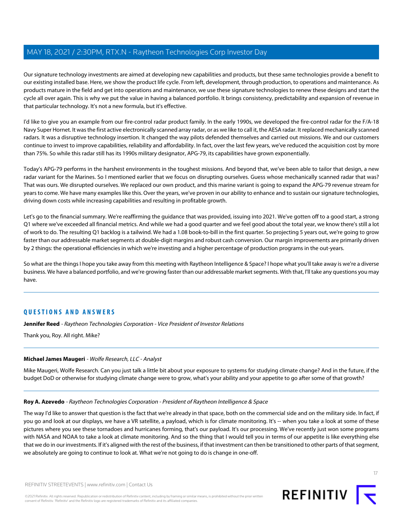Our signature technology investments are aimed at developing new capabilities and products, but these same technologies provide a benefit to our existing installed base. Here, we show the product life cycle. From left, development, through production, to operations and maintenance. As products mature in the field and get into operations and maintenance, we use these signature technologies to renew these designs and start the cycle all over again. This is why we put the value in having a balanced portfolio. It brings consistency, predictability and expansion of revenue in that particular technology. It's not a new formula, but it's effective.

I'd like to give you an example from our fire-control radar product family. In the early 1990s, we developed the fire-control radar for the F/A-18 Navy Super Hornet. It was the first active electronically scanned array radar, or as we like to call it, the AESA radar. It replaced mechanically scanned radars. It was a disruptive technology insertion. It changed the way pilots defended themselves and carried out missions. We and our customers continue to invest to improve capabilities, reliability and affordability. In fact, over the last few years, we've reduced the acquisition cost by more than 75%. So while this radar still has its 1990s military designator, APG-79, its capabilities have grown exponentially.

Today's APG-79 performs in the harshest environments in the toughest missions. And beyond that, we've been able to tailor that design, a new radar variant for the Marines. So I mentioned earlier that we focus on disrupting ourselves. Guess whose mechanically scanned radar that was? That was ours. We disrupted ourselves. We replaced our own product, and this marine variant is going to expand the APG-79 revenue stream for years to come. We have many examples like this. Over the years, we've proven in our ability to enhance and to sustain our signature technologies, driving down costs while increasing capabilities and resulting in profitable growth.

Let's go to the financial summary. We're reaffirming the guidance that was provided, issuing into 2021. We've gotten off to a good start, a strong Q1 where we've exceeded all financial metrics. And while we had a good quarter and we feel good about the total year, we know there's still a lot of work to do. The resulting Q1 backlog is a tailwind. We had a 1.08 book-to-bill in the first quarter. So projecting 5 years out, we're going to grow faster than our addressable market segments at double-digit margins and robust cash conversion. Our margin improvements are primarily driven by 2 things: the operational efficiencies in which we're investing and a higher percentage of production programs in the out-years.

So what are the things I hope you take away from this meeting with Raytheon Intelligence & Space? I hope what you'll take away is we're a diverse business. We have a balanced portfolio, and we're growing faster than our addressable market segments. With that, I'll take any questions you may have.

# **QUESTIONS AND ANSWERS**

<span id="page-16-0"></span>**Jennifer Reed** - Raytheon Technologies Corporation - Vice President of Investor Relations

Thank you, Roy. All right. Mike?

#### **Michael James Maugeri** - Wolfe Research, LLC - Analyst

Mike Maugeri, Wolfe Research. Can you just talk a little bit about your exposure to systems for studying climate change? And in the future, if the budget DoD or otherwise for studying climate change were to grow, what's your ability and your appetite to go after some of that growth?

#### **Roy A. Azevedo** - Raytheon Technologies Corporation - President of Raytheon Intelligence & Space

The way I'd like to answer that question is the fact that we're already in that space, both on the commercial side and on the military side. In fact, if you go and look at our displays, we have a VR satellite, a payload, which is for climate monitoring. It's -- when you take a look at some of these pictures where you see these tornadoes and hurricanes forming, that's our payload. It's our processing. We've recently just won some programs with NASA and NOAA to take a look at climate monitoring. And so the thing that I would tell you in terms of our appetite is like everything else that we do in our investments. If it's aligned with the rest of the business, if that investment can then be transitioned to other parts of that segment, we absolutely are going to continue to look at. What we're not going to do is change in one-off.

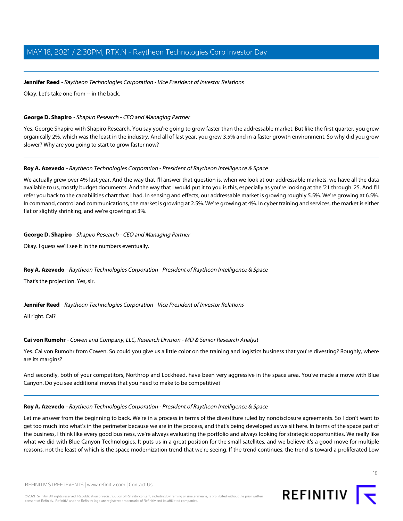#### **Jennifer Reed** - Raytheon Technologies Corporation - Vice President of Investor Relations

<span id="page-17-1"></span>Okay. Let's take one from -- in the back.

#### **George D. Shapiro** - Shapiro Research - CEO and Managing Partner

Yes. George Shapiro with Shapiro Research. You say you're going to grow faster than the addressable market. But like the first quarter, you grew organically 2%, which was the least in the industry. And all of last year, you grew 3.5% and in a faster growth environment. So why did you grow slower? Why are you going to start to grow faster now?

#### **Roy A. Azevedo** - Raytheon Technologies Corporation - President of Raytheon Intelligence & Space

We actually grew over 4% last year. And the way that I'll answer that question is, when we look at our addressable markets, we have all the data available to us, mostly budget documents. And the way that I would put it to you is this, especially as you're looking at the '21 through '25. And I'll refer you back to the capabilities chart that I had. In sensing and effects, our addressable market is growing roughly 5.5%. We're growing at 6.5%. In command, control and communications, the market is growing at 2.5%. We're growing at 4%. In cyber training and services, the market is either flat or slightly shrinking, and we're growing at 3%.

#### **George D. Shapiro** - Shapiro Research - CEO and Managing Partner

Okay. I guess we'll see it in the numbers eventually.

### **Roy A. Azevedo** - Raytheon Technologies Corporation - President of Raytheon Intelligence & Space

That's the projection. Yes, sir.

#### <span id="page-17-0"></span>**Jennifer Reed** - Raytheon Technologies Corporation - Vice President of Investor Relations

All right. Cai?

#### **Cai von Rumohr** - Cowen and Company, LLC, Research Division - MD & Senior Research Analyst

Yes. Cai von Rumohr from Cowen. So could you give us a little color on the training and logistics business that you're divesting? Roughly, where are its margins?

And secondly, both of your competitors, Northrop and Lockheed, have been very aggressive in the space area. You've made a move with Blue Canyon. Do you see additional moves that you need to make to be competitive?

#### **Roy A. Azevedo** - Raytheon Technologies Corporation - President of Raytheon Intelligence & Space

Let me answer from the beginning to back. We're in a process in terms of the divestiture ruled by nondisclosure agreements. So I don't want to get too much into what's in the perimeter because we are in the process, and that's being developed as we sit here. In terms of the space part of the business, I think like every good business, we're always evaluating the portfolio and always looking for strategic opportunities. We really like what we did with Blue Canyon Technologies. It puts us in a great position for the small satellites, and we believe it's a good move for multiple reasons, not the least of which is the space modernization trend that we're seeing. If the trend continues, the trend is toward a proliferated Low

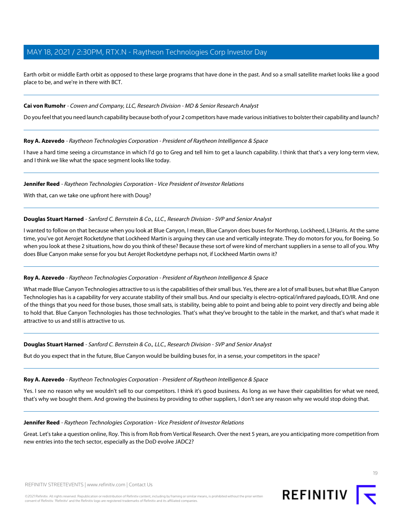Earth orbit or middle Earth orbit as opposed to these large programs that have done in the past. And so a small satellite market looks like a good place to be, and we're in there with BCT.

### **Cai von Rumohr** - Cowen and Company, LLC, Research Division - MD & Senior Research Analyst

Do you feel that you need launch capability because both of your 2 competitors have made various initiatives to bolster their capability and launch?

### **Roy A. Azevedo** - Raytheon Technologies Corporation - President of Raytheon Intelligence & Space

I have a hard time seeing a circumstance in which I'd go to Greg and tell him to get a launch capability. I think that that's a very long-term view, and I think we like what the space segment looks like today.

### **Jennifer Reed** - Raytheon Technologies Corporation - Vice President of Investor Relations

<span id="page-18-0"></span>With that, can we take one upfront here with Doug?

### **Douglas Stuart Harned** - Sanford C. Bernstein & Co., LLC., Research Division - SVP and Senior Analyst

I wanted to follow on that because when you look at Blue Canyon, I mean, Blue Canyon does buses for Northrop, Lockheed, L3Harris. At the same time, you've got Aerojet Rocketdyne that Lockheed Martin is arguing they can use and vertically integrate. They do motors for you, for Boeing. So when you look at these 2 situations, how do you think of these? Because these sort of were kind of merchant suppliers in a sense to all of you. Why does Blue Canyon make sense for you but Aerojet Rocketdyne perhaps not, if Lockheed Martin owns it?

### **Roy A. Azevedo** - Raytheon Technologies Corporation - President of Raytheon Intelligence & Space

What made Blue Canyon Technologies attractive to us is the capabilities of their small bus. Yes, there are a lot of small buses, but what Blue Canyon Technologies has is a capability for very accurate stability of their small bus. And our specialty is electro-optical/infrared payloads, EO/IR. And one of the things that you need for those buses, those small sats, is stability, being able to point and being able to point very directly and being able to hold that. Blue Canyon Technologies has those technologies. That's what they've brought to the table in the market, and that's what made it attractive to us and still is attractive to us.

### **Douglas Stuart Harned** - Sanford C. Bernstein & Co., LLC., Research Division - SVP and Senior Analyst

But do you expect that in the future, Blue Canyon would be building buses for, in a sense, your competitors in the space?

### **Roy A. Azevedo** - Raytheon Technologies Corporation - President of Raytheon Intelligence & Space

Yes. I see no reason why we wouldn't sell to our competitors. I think it's good business. As long as we have their capabilities for what we need, that's why we bought them. And growing the business by providing to other suppliers, I don't see any reason why we would stop doing that.

### **Jennifer Reed** - Raytheon Technologies Corporation - Vice President of Investor Relations

Great. Let's take a question online, Roy. This is from Rob from Vertical Research. Over the next 5 years, are you anticipating more competition from new entries into the tech sector, especially as the DoD evolve JADC2?

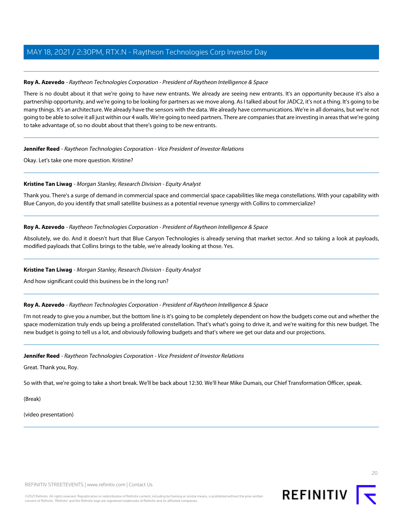### **Roy A. Azevedo** - Raytheon Technologies Corporation - President of Raytheon Intelligence & Space

There is no doubt about it that we're going to have new entrants. We already are seeing new entrants. It's an opportunity because it's also a partnership opportunity, and we're going to be looking for partners as we move along. As I talked about for JADC2, it's not a thing. It's going to be many things. It's an architecture. We already have the sensors with the data. We already have communications. We're in all domains, but we're not going to be able to solve it all just within our 4 walls. We're going to need partners. There are companies that are investing in areas that we're going to take advantage of, so no doubt about that there's going to be new entrants.

**Jennifer Reed** - Raytheon Technologies Corporation - Vice President of Investor Relations

<span id="page-19-0"></span>Okay. Let's take one more question. Kristine?

### **Kristine Tan Liwag** - Morgan Stanley, Research Division - Equity Analyst

Thank you. There's a surge of demand in commercial space and commercial space capabilities like mega constellations. With your capability with Blue Canyon, do you identify that small satellite business as a potential revenue synergy with Collins to commercialize?

### **Roy A. Azevedo** - Raytheon Technologies Corporation - President of Raytheon Intelligence & Space

Absolutely, we do. And it doesn't hurt that Blue Canyon Technologies is already serving that market sector. And so taking a look at payloads, modified payloads that Collins brings to the table, we're already looking at those. Yes.

### **Kristine Tan Liwag** - Morgan Stanley, Research Division - Equity Analyst

And how significant could this business be in the long run?

### **Roy A. Azevedo** - Raytheon Technologies Corporation - President of Raytheon Intelligence & Space

I'm not ready to give you a number, but the bottom line is it's going to be completely dependent on how the budgets come out and whether the space modernization truly ends up being a proliferated constellation. That's what's going to drive it, and we're waiting for this new budget. The new budget is going to tell us a lot, and obviously following budgets and that's where we get our data and our projections.

### **Jennifer Reed** - Raytheon Technologies Corporation - Vice President of Investor Relations

Great. Thank you, Roy.

So with that, we're going to take a short break. We'll be back about 12:30. We'll hear Mike Dumais, our Chief Transformation Officer, speak.

(Break)

(video presentation)

REFINITIV STREETEVENTS | [www.refinitiv.com](https://www.refinitiv.com/) | [Contact Us](https://www.refinitiv.com/en/contact-us)

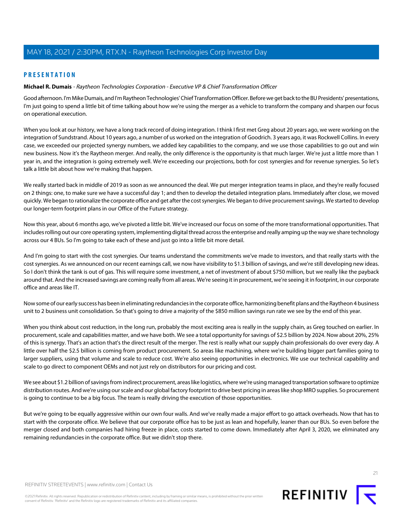## <span id="page-20-0"></span>**PRESENTATION**

#### **Michael R. Dumais** - Raytheon Technologies Corporation - Executive VP & Chief Transformation Officer

Good afternoon. I'm Mike Dumais, and I'm Raytheon Technologies' Chief Transformation Officer. Before we get back to the BU Presidents' presentations, I'm just going to spend a little bit of time talking about how we're using the merger as a vehicle to transform the company and sharpen our focus on operational execution.

When you look at our history, we have a long track record of doing integration. I think I first met Greg about 20 years ago, we were working on the integration of Sundstrand. About 10 years ago, a number of us worked on the integration of Goodrich. 3 years ago, it was Rockwell Collins. In every case, we exceeded our projected synergy numbers, we added key capabilities to the company, and we use those capabilities to go out and win new business. Now it's the Raytheon merger. And really, the only difference is the opportunity is that much larger. We're just a little more than 1 year in, and the integration is going extremely well. We're exceeding our projections, both for cost synergies and for revenue synergies. So let's talk a little bit about how we're making that happen.

We really started back in middle of 2019 as soon as we announced the deal. We put merger integration teams in place, and they're really focused on 2 things: one, to make sure we have a successful day 1; and then to develop the detailed integration plans. Immediately after close, we moved quickly. We began to rationalize the corporate office and get after the cost synergies. We began to drive procurement savings. We started to develop our longer-term footprint plans in our Office of the Future strategy.

Now this year, about 6 months ago, we've pivoted a little bit. We've increased our focus on some of the more transformational opportunities. That includes rolling out our core operating system, implementing digital thread across the enterprise and really amping up the way we share technology across our 4 BUs. So I'm going to take each of these and just go into a little bit more detail.

And I'm going to start with the cost synergies. Our teams understand the commitments we've made to investors, and that really starts with the cost synergies. As we announced on our recent earnings call, we now have visibility to \$1.3 billion of savings, and we're still developing new ideas. So I don't think the tank is out of gas. This will require some investment, a net of investment of about \$750 million, but we really like the payback around that. And the increased savings are coming really from all areas. We're seeing it in procurement, we're seeing it in footprint, in our corporate office and areas like IT.

Now some of our early success has been in eliminating redundancies in the corporate office, harmonizing benefit plans and the Raytheon 4 business unit to 2 business unit consolidation. So that's going to drive a majority of the \$850 million savings run rate we see by the end of this year.

When you think about cost reduction, in the long run, probably the most exciting area is really in the supply chain, as Greg touched on earlier. In procurement, scale and capabilities matter, and we have both. We see a total opportunity for savings of \$2.5 billion by 2024. Now about 20%, 25% of this is synergy. That's an action that's the direct result of the merger. The rest is really what our supply chain professionals do over every day. A little over half the \$2.5 billion is coming from product procurement. So areas like machining, where we're building bigger part families going to larger suppliers, using that volume and scale to reduce cost. We're also seeing opportunities in electronics. We use our technical capability and scale to go direct to component OEMs and not just rely on distributors for our pricing and cost.

We see about \$1.2 billion of savings from indirect procurement, areas like logistics, where we're using managed transportation software to optimize distribution routes. And we're using our scale and our global factory footprint to drive best pricing in areas like shop MRO supplies. So procurement is going to continue to be a big focus. The team is really driving the execution of those opportunities.

But we're going to be equally aggressive within our own four walls. And we've really made a major effort to go attack overheads. Now that has to start with the corporate office. We believe that our corporate office has to be just as lean and hopefully, leaner than our BUs. So even before the merger closed and both companies had hiring freeze in place, costs started to come down. Immediately after April 3, 2020, we eliminated any remaining redundancies in the corporate office. But we didn't stop there.



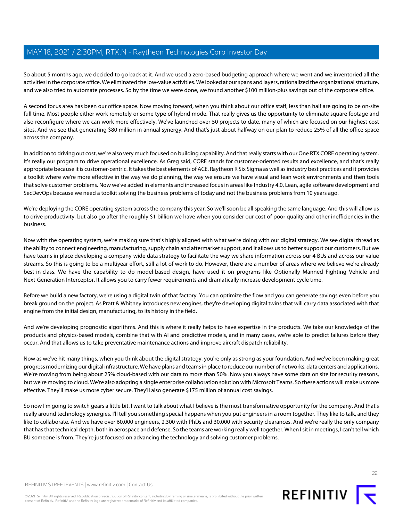So about 5 months ago, we decided to go back at it. And we used a zero-based budgeting approach where we went and we inventoried all the activities in the corporate office. We eliminated the low-value activities. We looked at our spans and layers, rationalized the organizational structure, and we also tried to automate processes. So by the time we were done, we found another \$100 million-plus savings out of the corporate office.

A second focus area has been our office space. Now moving forward, when you think about our office staff, less than half are going to be on-site full time. Most people either work remotely or some type of hybrid mode. That really gives us the opportunity to eliminate square footage and also reconfigure where we can work more effectively. We've launched over 50 projects to date, many of which are focused on our highest cost sites. And we see that generating \$80 million in annual synergy. And that's just about halfway on our plan to reduce 25% of all the office space across the company.

In addition to driving out cost, we're also very much focused on building capability. And that really starts with our One RTX CORE operating system. It's really our program to drive operational excellence. As Greg said, CORE stands for customer-oriented results and excellence, and that's really appropriate because it is customer-centric. It takes the best elements of ACE, Raytheon R Six Sigma as well as industry best practices and it provides a toolkit where we're more effective in the way we do planning, the way we ensure we have visual and lean work environments and then tools that solve customer problems. Now we've added in elements and increased focus in areas like Industry 4.0, Lean, agile software development and SecDevOps because we need a toolkit solving the business problems of today and not the business problems from 10 years ago.

We're deploying the CORE operating system across the company this year. So we'll soon be all speaking the same language. And this will allow us to drive productivity, but also go after the roughly \$1 billion we have when you consider our cost of poor quality and other inefficiencies in the business.

Now with the operating system, we're making sure that's highly aligned with what we're doing with our digital strategy. We see digital thread as the ability to connect engineering, manufacturing, supply chain and aftermarket support, and it allows us to better support our customers. But we have teams in place developing a company-wide data strategy to facilitate the way we share information across our 4 BUs and across our value streams. So this is going to be a multiyear effort, still a lot of work to do. However, there are a number of areas where we believe we're already best-in-class. We have the capability to do model-based design, have used it on programs like Optionally Manned Fighting Vehicle and Next-Generation Interceptor. It allows you to carry fewer requirements and dramatically increase development cycle time.

Before we build a new factory, we're using a digital twin of that factory. You can optimize the flow and you can generate savings even before you break ground on the project. As Pratt & Whitney introduces new engines, they're developing digital twins that will carry data associated with that engine from the initial design, manufacturing, to its history in the field.

And we're developing prognostic algorithms. And this is where it really helps to have expertise in the products. We take our knowledge of the products and physics-based models, combine that with AI and predictive models, and in many cases, we're able to predict failures before they occur. And that allows us to take preventative maintenance actions and improve aircraft dispatch reliability.

Now as we've hit many things, when you think about the digital strategy, you're only as strong as your foundation. And we've been making great progress modernizing our digital infrastructure. We have plans and teams in place to reduce our number of networks, data centers and applications. We're moving from being about 25% cloud-based with our data to more than 50%. Now you always have some data on site for security reasons, but we're moving to cloud. We're also adopting a single enterprise collaboration solution with Microsoft Teams. So these actions will make us more effective. They'll make us more cyber secure. They'll also generate \$175 million of annual cost savings.

So now I'm going to switch gears a little bit. I want to talk about what I believe is the most transformative opportunity for the company. And that's really around technology synergies. I'll tell you something special happens when you put engineers in a room together. They like to talk, and they like to collaborate. And we have over 60,000 engineers, 2,300 with PhDs and 30,000 with security clearances. And we're really the only company that has that technical depth, both in aerospace and defense. So the teams are working really well together. When I sit in meetings, I can't tell which BU someone is from. They're just focused on advancing the technology and solving customer problems.

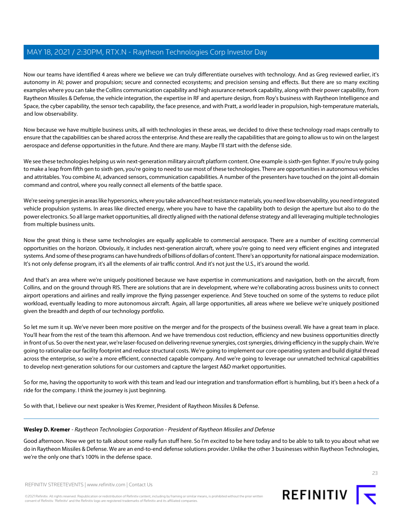Now our teams have identified 4 areas where we believe we can truly differentiate ourselves with technology. And as Greg reviewed earlier, it's autonomy in AI; power and propulsion; secure and connected ecosystems; and precision sensing and effects. But there are so many exciting examples where you can take the Collins communication capability and high assurance network capability, along with their power capability, from Raytheon Missiles & Defense, the vehicle integration, the expertise in RF and aperture design, from Roy's business with Raytheon Intelligence and Space, the cyber capability, the sensor tech capability, the face presence, and with Pratt, a world leader in propulsion, high-temperature materials, and low observability.

Now because we have multiple business units, all with technologies in these areas, we decided to drive these technology road maps centrally to ensure that the capabilities can be shared across the enterprise. And these are really the capabilities that are going to allow us to win on the largest aerospace and defense opportunities in the future. And there are many. Maybe I'll start with the defense side.

We see these technologies helping us win next-generation military aircraft platform content. One example is sixth-gen fighter. If you're truly going to make a leap from fifth gen to sixth gen, you're going to need to use most of these technologies. There are opportunities in autonomous vehicles and attritables. You combine AI, advanced sensors, communication capabilities. A number of the presenters have touched on the joint all-domain command and control, where you really connect all elements of the battle space.

We're seeing synergies in areas like hypersonics, where you take advanced heat resistance materials, you need low observability, you need integrated vehicle propulsion systems. In areas like directed energy, where you have to have the capability both to design the aperture but also to do the power electronics. So all large market opportunities, all directly aligned with the national defense strategy and all leveraging multiple technologies from multiple business units.

Now the great thing is these same technologies are equally applicable to commercial aerospace. There are a number of exciting commercial opportunities on the horizon. Obviously, it includes next-generation aircraft, where you're going to need very efficient engines and integrated systems. And some of these programs can have hundreds of billions of dollars of content. There's an opportunity for national airspace modernization. It's not only defense program, it's all the elements of air traffic control. And it's not just the U.S., it's around the world.

And that's an area where we're uniquely positioned because we have expertise in communications and navigation, both on the aircraft, from Collins, and on the ground through RIS. There are solutions that are in development, where we're collaborating across business units to connect airport operations and airlines and really improve the flying passenger experience. And Steve touched on some of the systems to reduce pilot workload, eventually leading to more autonomous aircraft. Again, all large opportunities, all areas where we believe we're uniquely positioned given the breadth and depth of our technology portfolio.

So let me sum it up. We've never been more positive on the merger and for the prospects of the business overall. We have a great team in place. You'll hear from the rest of the team this afternoon. And we have tremendous cost reduction, efficiency and new business opportunities directly in front of us. So over the next year, we're laser-focused on delivering revenue synergies, cost synergies, driving efficiency in the supply chain. We're going to rationalize our facility footprint and reduce structural costs. We're going to implement our core operating system and build digital thread across the enterprise, so we're a more efficient, connected capable company. And we're going to leverage our unmatched technical capabilities to develop next-generation solutions for our customers and capture the largest A&D market opportunities.

<span id="page-22-0"></span>So for me, having the opportunity to work with this team and lead our integration and transformation effort is humbling, but it's been a heck of a ride for the company. I think the journey is just beginning.

So with that, I believe our next speaker is Wes Kremer, President of Raytheon Missiles & Defense.

### **Wesley D. Kremer** - Raytheon Technologies Corporation - President of Raytheon Missiles and Defense

Good afternoon. Now we get to talk about some really fun stuff here. So I'm excited to be here today and to be able to talk to you about what we do in Raytheon Missiles & Defense. We are an end-to-end defense solutions provider. Unlike the other 3 businesses within Raytheon Technologies, we're the only one that's 100% in the defense space.

 $23$ 

REFINITIV STREETEVENTS | [www.refinitiv.com](https://www.refinitiv.com/) | [Contact Us](https://www.refinitiv.com/en/contact-us)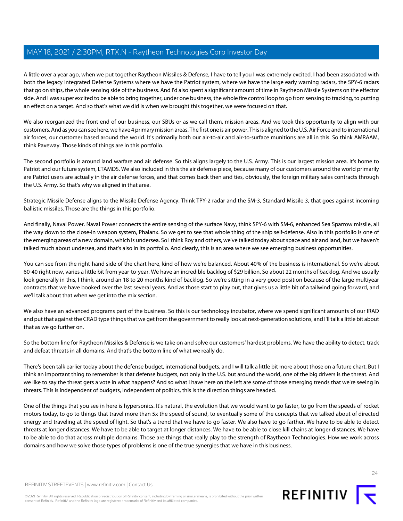A little over a year ago, when we put together Raytheon Missiles & Defense, I have to tell you I was extremely excited. I had been associated with both the legacy Integrated Defense Systems where we have the Patriot system, where we have the large early warning radars, the SPY-6 radars that go on ships, the whole sensing side of the business. And I'd also spent a significant amount of time in Raytheon Missile Systems on the effector side. And I was super excited to be able to bring together, under one business, the whole fire control loop to go from sensing to tracking, to putting an effect on a target. And so that's what we did is when we brought this together, we were focused on that.

We also reorganized the front end of our business, our SBUs or as we call them, mission areas. And we took this opportunity to align with our customers. And as you can see here, we have 4 primary mission areas. The first one is air power. This is aligned to the U.S. Air Force and to international air forces, our customer based around the world. It's primarily both our air-to-air and air-to-surface munitions are all in this. So think AMRAAM, think Paveway. Those kinds of things are in this portfolio.

The second portfolio is around land warfare and air defense. So this aligns largely to the U.S. Army. This is our largest mission area. It's home to Patriot and our future system, LTAMDS. We also included in this the air defense piece, because many of our customers around the world primarily are Patriot users are actually in the air defense forces, and that comes back then and ties, obviously, the foreign military sales contracts through the U.S. Army. So that's why we aligned in that area.

Strategic Missile Defense aligns to the Missile Defense Agency. Think TPY-2 radar and the SM-3, Standard Missile 3, that goes against incoming ballistic missiles. Those are the things in this portfolio.

And finally, Naval Power. Naval Power connects the entire sensing of the surface Navy, think SPY-6 with SM-6, enhanced Sea Sparrow missile, all the way down to the close-in weapon system, Phalanx. So we get to see that whole thing of the ship self-defense. Also in this portfolio is one of the emerging areas of a new domain, which is undersea. So I think Roy and others, we've talked today about space and air and land, but we haven't talked much about undersea, and that's also in its portfolio. And clearly, this is an area where we see emerging business opportunities.

You can see from the right-hand side of the chart here, kind of how we're balanced. About 40% of the business is international. So we're about 60-40 right now, varies a little bit from year-to-year. We have an incredible backlog of \$29 billion. So about 22 months of backlog. And we usually look generally in this, I think, around an 18 to 20 months kind of backlog. So we're sitting in a very good position because of the large multiyear contracts that we have booked over the last several years. And as those start to play out, that gives us a little bit of a tailwind going forward, and we'll talk about that when we get into the mix section.

We also have an advanced programs part of the business. So this is our technology incubator, where we spend significant amounts of our IRAD and put that against the CRAD type things that we get from the government to really look at next-generation solutions, and I'll talk a little bit about that as we go further on.

So the bottom line for Raytheon Missiles & Defense is we take on and solve our customers' hardest problems. We have the ability to detect, track and defeat threats in all domains. And that's the bottom line of what we really do.

There's been talk earlier today about the defense budget, international budgets, and I will talk a little bit more about those on a future chart. But I think an important thing to remember is that defense budgets, not only in the U.S. but around the world, one of the big drivers is the threat. And we like to say the threat gets a vote in what happens? And so what I have here on the left are some of those emerging trends that we're seeing in threats. This is independent of budgets, independent of politics, this is the direction things are headed.

One of the things that you see in here is hypersonics. It's natural, the evolution that we would want to go faster, to go from the speeds of rocket motors today, to go to things that travel more than 5x the speed of sound, to eventually some of the concepts that we talked about of directed energy and traveling at the speed of light. So that's a trend that we have to go faster. We also have to go farther. We have to be able to detect threats at longer distances. We have to be able to target at longer distances. We have to be able to close kill chains at longer distances. We have to be able to do that across multiple domains. Those are things that really play to the strength of Raytheon Technologies. How we work across domains and how we solve those types of problems is one of the true synergies that we have in this business.



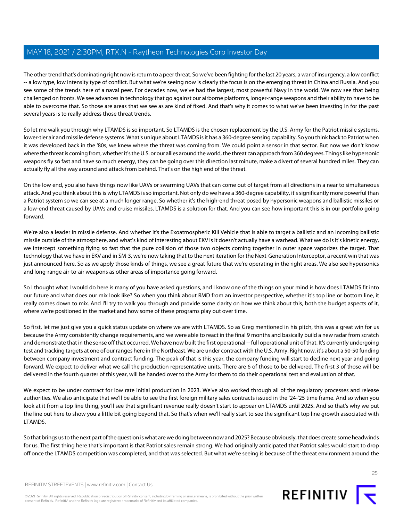The other trend that's dominating right now is return to a peer threat. So we've been fighting for the last 20 years, a war of insurgency, a low conflict -- a low type, low intensity type of conflict. But what we're seeing now is clearly the focus is on the emerging threat in China and Russia. And you see some of the trends here of a naval peer. For decades now, we've had the largest, most powerful Navy in the world. We now see that being challenged on fronts. We see advances in technology that go against our airborne platforms, longer-range weapons and their ability to have to be able to overcome that. So those are areas that we see as are kind of fixed. And that's why it comes to what we've been investing in for the past several years is to really address those threat trends.

So let me walk you through why LTAMDS is so important. So LTAMDS is the chosen replacement by the U.S. Army for the Patriot missile systems, lower-tier air and missile defense systems. What's unique about LTAMDS is it has a 360-degree sensing capability. So you think back to Patriot when it was developed back in the '80s, we knew where the threat was coming from. We could point a sensor in that sector. But now we don't know where the threat is coming from, whether it's the U.S. or our allies around the world, the threat can approach from 360 degrees. Things like hypersonic weapons fly so fast and have so much energy, they can be going over this direction last minute, make a divert of several hundred miles. They can actually fly all the way around and attack from behind. That's on the high end of the threat.

On the low end, you also have things now like UAVs or swarming UAVs that can come out of target from all directions in a near to simultaneous attack. And you think about this is why LTAMDS is so important. Not only do we have a 360-degree capability, it's significantly more powerful than a Patriot system so we can see at a much longer range. So whether it's the high-end threat posed by hypersonic weapons and ballistic missiles or a low-end threat caused by UAVs and cruise missiles, LTAMDS is a solution for that. And you can see how important this is in our portfolio going forward.

We're also a leader in missile defense. And whether it's the Exoatmospheric Kill Vehicle that is able to target a ballistic and an incoming ballistic missile outside of the atmosphere, and what's kind of interesting about EKV is it doesn't actually have a warhead. What we do is it's kinetic energy, we intercept something flying so fast that the pure collision of those two objects coming together in outer space vaporizes the target. That technology that we have in EKV and in SM-3, we're now taking that to the next iteration for the Next-Generation Interceptor, a recent win that was just announced here. So as we apply those kinds of things, we see a great future that we're operating in the right areas. We also see hypersonics and long-range air-to-air weapons as other areas of importance going forward.

So I thought what I would do here is many of you have asked questions, and I know one of the things on your mind is how does LTAMDS fit into our future and what does our mix look like? So when you think about RMD from an investor perspective, whether it's top line or bottom line, it really comes down to mix. And I'll try to walk you through and provide some clarity on how we think about this, both the budget aspects of it, where we're positioned in the market and how some of these programs play out over time.

So first, let me just give you a quick status update on where we are with LTAMDS. So as Greg mentioned in his pitch, this was a great win for us because the Army consistently change requirements, and we were able to react in the final 9 months and basically build a new radar from scratch and demonstrate that in the sense off that occurred. We have now built the first operational -- full operational unit of that. It's currently undergoing test and tracking targets at one of our ranges here in the Northeast. We are under contract with the U.S. Army. Right now, it's about a 50-50 funding between company investment and contract funding. The peak of that is this year, the company funding will start to decline next year and going forward. We expect to deliver what we call the production representative units. There are 6 of those to be delivered. The first 3 of those will be delivered in the fourth quarter of this year, will be handed over to the Army for them to do their operational test and evaluation of that.

We expect to be under contract for low rate initial production in 2023. We've also worked through all of the regulatory processes and release authorities. We also anticipate that we'll be able to see the first foreign military sales contracts issued in the '24-'25 time frame. And so when you look at it from a top line thing, you'll see that significant revenue really doesn't start to appear on LTAMDS until 2025. And so that's why we put the line out here to show you a little bit going beyond that. So that's when we'll really start to see the significant top line growth associated with LTAMDS.

So that brings us to the next part of the question is what are we doing between now and 2025? Because obviously, that does create some headwinds for us. The first thing here that's important is that Patriot sales remain strong. We had originally anticipated that Patriot sales would start to drop off once the LTAMDS competition was completed, and that was selected. But what we're seeing is because of the threat environment around the

REFINITIV STREETEVENTS | [www.refinitiv.com](https://www.refinitiv.com/) | [Contact Us](https://www.refinitiv.com/en/contact-us)

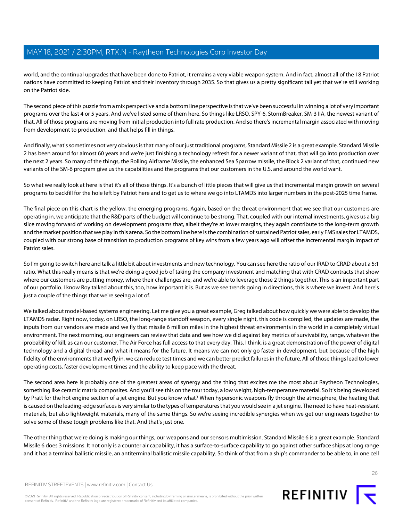world, and the continual upgrades that have been done to Patriot, it remains a very viable weapon system. And in fact, almost all of the 18 Patriot nations have committed to keeping Patriot and their inventory through 2035. So that gives us a pretty significant tail yet that we're still working on the Patriot side.

The second piece of this puzzle from a mix perspective and a bottom line perspective is that we've been successful in winning a lot of very important programs over the last 4 or 5 years. And we've listed some of them here. So things like LRSO, SPY-6, StormBreaker, SM-3 IIA, the newest variant of that. All of those programs are moving from initial production into full rate production. And so there's incremental margin associated with moving from development to production, and that helps fill in things.

And finally, what's sometimes not very obvious is that many of our just traditional programs, Standard Missile 2 is a great example. Standard Missile 2 has been around for almost 60 years and we're just finishing a technology refresh for a newer variant of that, that will go into production over the next 2 years. So many of the things, the Rolling Airframe Missile, the enhanced Sea Sparrow missile, the Block 2 variant of that, continued new variants of the SM-6 program give us the capabilities and the programs that our customers in the U.S. and around the world want.

So what we really look at here is that it's all of those things. It's a bunch of little pieces that will give us that incremental margin growth on several programs to backfill for the hole left by Patriot here and to get us to where we go into LTAMDS into larger numbers in the post-2025 time frame.

The final piece on this chart is the yellow, the emerging programs. Again, based on the threat environment that we see that our customers are operating in, we anticipate that the R&D parts of the budget will continue to be strong. That, coupled with our internal investments, gives us a big slice moving forward of working on development programs that, albeit they're at lower margins, they again contribute to the long-term growth and the market position that we play in this arena. So the bottom line here is the combination of sustained Patriot sales, early FMS sales for LTAMDS, coupled with our strong base of transition to production programs of key wins from a few years ago will offset the incremental margin impact of Patriot sales.

So I'm going to switch here and talk a little bit about investments and new technology. You can see here the ratio of our IRAD to CRAD about a 5:1 ratio. What this really means is that we're doing a good job of taking the company investment and matching that with CRAD contracts that show where our customers are putting money, where their challenges are, and we're able to leverage those 2 things together. This is an important part of our portfolio. I know Roy talked about this, too, how important it is. But as we see trends going in directions, this is where we invest. And here's just a couple of the things that we're seeing a lot of.

We talked about model-based systems engineering. Let me give you a great example, Greg talked about how quickly we were able to develop the LTAMDS radar. Right now, today, on LRSO, the long-range standoff weapon, every single night, this code is compiled, the updates are made, the inputs from our vendors are made and we fly that missile 6 million miles in the highest threat environments in the world in a completely virtual environment. The next morning, our engineers can review that data and see how we did against key metrics of survivability, range, whatever the probability of kill, as can our customer. The Air Force has full access to that every day. This, I think, is a great demonstration of the power of digital technology and a digital thread and what it means for the future. It means we can not only go faster in development, but because of the high fidelity of the environments that we fly in, we can reduce test times and we can better predict failures in the future. All of those things lead to lower operating costs, faster development times and the ability to keep pace with the threat.

The second area here is probably one of the greatest areas of synergy and the thing that excites me the most about Raytheon Technologies, something like ceramic matrix composites. And you'll see this on the tour today, a low weight, high-temperature material. So it's being developed by Pratt for the hot engine section of a jet engine. But you know what? When hypersonic weapons fly through the atmosphere, the heating that is caused on the leading-edge surfaces is very similar to the types of temperatures that you would see in a jet engine. The need to have heat-resistant materials, but also lightweight materials, many of the same things. So we're seeing incredible synergies when we get our engineers together to solve some of these tough problems like that. And that's just one.

The other thing that we're doing is making our things, our weapons and our sensors multimission. Standard Missile 6 is a great example. Standard Missile 6 does 3 missions. It not only is a counter air capability, it has a surface-to-surface capability to go against other surface ships at long range and it has a terminal ballistic missile, an antiterminal ballistic missile capability. So think of that from a ship's commander to be able to, in one cell

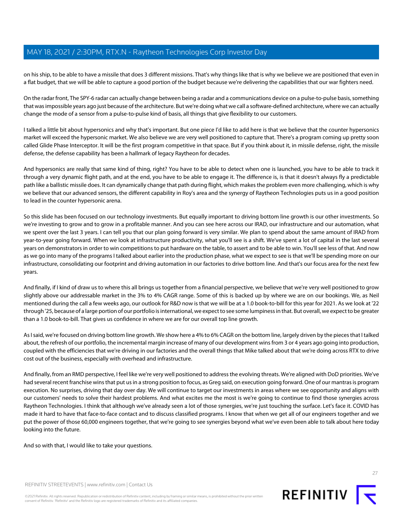on his ship, to be able to have a missile that does 3 different missions. That's why things like that is why we believe we are positioned that even in a flat budget, that we will be able to capture a good portion of the budget because we're delivering the capabilities that our war fighters need.

On the radar front, The SPY-6 radar can actually change between being a radar and a communications device on a pulse-to-pulse basis, something that was impossible years ago just because of the architecture. But we're doing what we call a software-defined architecture, where we can actually change the mode of a sensor from a pulse-to-pulse kind of basis, all things that give flexibility to our customers.

I talked a little bit about hypersonics and why that's important. But one piece I'd like to add here is that we believe that the counter hypersonics market will exceed the hypersonic market. We also believe we are very well positioned to capture that. There's a program coming up pretty soon called Glide Phase Interceptor. It will be the first program competitive in that space. But if you think about it, in missile defense, right, the missile defense, the defense capability has been a hallmark of legacy Raytheon for decades.

And hypersonics are really that same kind of thing, right? You have to be able to detect when one is launched, you have to be able to track it through a very dynamic flight path, and at the end, you have to be able to engage it. The difference is, is that it doesn't always fly a predictable path like a ballistic missile does. It can dynamically change that path during flight, which makes the problem even more challenging, which is why we believe that our advanced sensors, the different capability in Roy's area and the synergy of Raytheon Technologies puts us in a good position to lead in the counter hypersonic arena.

So this slide has been focused on our technology investments. But equally important to driving bottom line growth is our other investments. So we're investing to grow and to grow in a profitable manner. And you can see here across our IRAD, our infrastructure and our automation, what we spent over the last 3 years. I can tell you that our plan going forward is very similar. We plan to spend about the same amount of IRAD from year-to-year going forward. When we look at infrastructure productivity, what you'll see is a shift. We've spent a lot of capital in the last several years on demonstrators in order to win competitions to put hardware on the table, to assert and to be able to win. You'll see less of that. And now as we go into many of the programs I talked about earlier into the production phase, what we expect to see is that we'll be spending more on our infrastructure, consolidating our footprint and driving automation in our factories to drive bottom line. And that's our focus area for the next few years.

And finally, if I kind of draw us to where this all brings us together from a financial perspective, we believe that we're very well positioned to grow slightly above our addressable market in the 3% to 4% CAGR range. Some of this is backed up by where we are on our bookings. We, as Neil mentioned during the call a few weeks ago, our outlook for R&D now is that we will be at a 1.0 book-to-bill for this year for 2021. As we look at '22 through '25, because of a large portion of our portfolio is international, we expect to see some lumpiness in that. But overall, we expect to be greater than a 1.0 book-to-bill. That gives us confidence in where we are for our overall top line growth.

As I said, we're focused on driving bottom line growth. We show here a 4% to 6% CAGR on the bottom line, largely driven by the pieces that I talked about, the refresh of our portfolio, the incremental margin increase of many of our development wins from 3 or 4 years ago going into production, coupled with the efficiencies that we're driving in our factories and the overall things that Mike talked about that we're doing across RTX to drive cost out of the business, especially with overhead and infrastructure.

And finally, from an RMD perspective, I feel like we're very well positioned to address the evolving threats. We're aligned with DoD priorities. We've had several recent franchise wins that put us in a strong position to focus, as Greg said, on execution going forward. One of our mantras is program execution. No surprises, driving that day over day. We will continue to target our investments in areas where we see opportunity and aligns with our customers' needs to solve their hardest problems. And what excites me the most is we're going to continue to find those synergies across Raytheon Technologies. I think that although we've already seen a lot of those synergies, we're just touching the surface. Let's face it. COVID has made it hard to have that face-to-face contact and to discuss classified programs. I know that when we get all of our engineers together and we put the power of those 60,000 engineers together, that we're going to see synergies beyond what we've even been able to talk about here today looking into the future.

And so with that, I would like to take your questions.

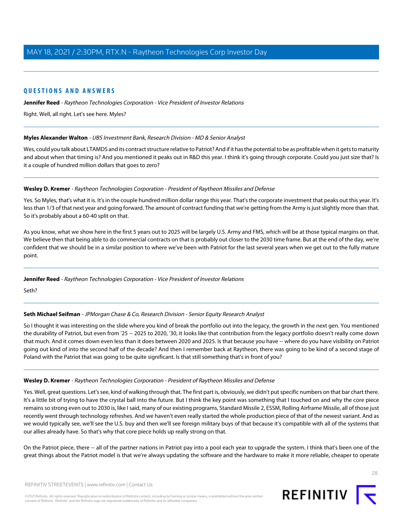# **QUESTIONS AND ANSWERS**

**Jennifer Reed** - Raytheon Technologies Corporation - Vice President of Investor Relations

<span id="page-27-0"></span>Right. Well, all right. Let's see here. Myles?

### **Myles Alexander Walton** - UBS Investment Bank, Research Division - MD & Senior Analyst

Wes, could you talk about LTAMDS and its contract structure relative to Patriot? And if it has the potential to be as profitable when it gets to maturity and about when that timing is? And you mentioned it peaks out in R&D this year. I think it's going through corporate. Could you just size that? Is it a couple of hundred million dollars that goes to zero?

### **Wesley D. Kremer** - Raytheon Technologies Corporation - President of Raytheon Missiles and Defense

Yes. So Myles, that's what it is. It's in the couple hundred million dollar range this year. That's the corporate investment that peaks out this year. It's less than 1/3 of that next year and going forward. The amount of contract funding that we're getting from the Army is just slightly more than that. So it's probably about a 60-40 split on that.

As you know, what we show here in the first 5 years out to 2025 will be largely U.S. Army and FMS, which will be at those typical margins on that. We believe then that being able to do commercial contracts on that is probably out closer to the 2030 time frame. But at the end of the day, we're confident that we should be in a similar position to where we've been with Patriot for the last several years when we get out to the fully mature point.

### <span id="page-27-1"></span>**Jennifer Reed** - Raytheon Technologies Corporation - Vice President of Investor Relations

Seth?

### **Seth Michael Seifman** - JPMorgan Chase & Co, Research Division - Senior Equity Research Analyst

So I thought it was interesting on the slide where you kind of break the portfolio out into the legacy, the growth in the next gen. You mentioned the durability of Patriot, but even from '25 -- 2025 to 2020, '30, it looks like that contribution from the legacy portfolio doesn't really come down that much. And it comes down even less than it does between 2020 and 2025. Is that because you have -- where do you have visibility on Patriot going out kind of into the second half of the decade? And then I remember back at Raytheon, there was going to be kind of a second stage of Poland with the Patriot that was going to be quite significant. Is that still something that's in front of you?

#### **Wesley D. Kremer** - Raytheon Technologies Corporation - President of Raytheon Missiles and Defense

Yes. Well, great questions. Let's see, kind of walking through that. The first part is, obviously, we didn't put specific numbers on that bar chart there. It's a little bit of trying to have the crystal ball into the future. But I think the key point was something that I touched on and why the core piece remains so strong even out to 2030 is, like I said, many of our existing programs, Standard Missile 2, ESSM, Rolling Airframe Missile, all of those just recently went through technology refreshes. And we haven't even really started the whole production piece of that of the newest variant. And as we would typically see, we'll see the U.S. buy and then we'll see foreign military buys of that because it's compatible with all of the systems that our allies already have. So that's why that core piece holds up really strong on that.

On the Patriot piece, there -- all of the partner nations in Patriot pay into a pool each year to upgrade the system. I think that's been one of the great things about the Patriot model is that we're always updating the software and the hardware to make it more reliable, cheaper to operate



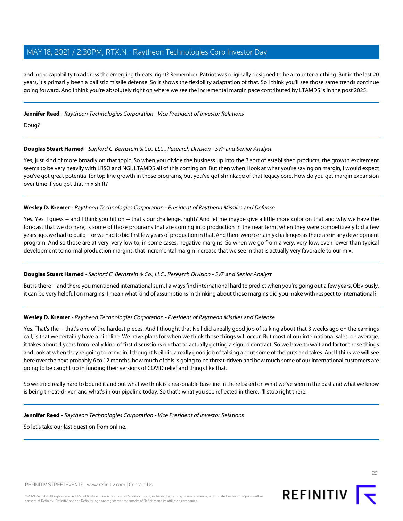and more capability to address the emerging threats, right? Remember, Patriot was originally designed to be a counter-air thing. But in the last 20 years, it's primarily been a ballistic missile defense. So it shows the flexibility adaptation of that. So I think you'll see those same trends continue going forward. And I think you're absolutely right on where we see the incremental margin pace contributed by LTAMDS is in the post 2025.

**Jennifer Reed** - Raytheon Technologies Corporation - Vice President of Investor Relations

Doug?

### **Douglas Stuart Harned** - Sanford C. Bernstein & Co., LLC., Research Division - SVP and Senior Analyst

Yes, just kind of more broadly on that topic. So when you divide the business up into the 3 sort of established products, the growth excitement seems to be very heavily with LRSO and NGI, LTAMDS all of this coming on. But then when I look at what you're saying on margin, I would expect you've got great potential for top line growth in those programs, but you've got shrinkage of that legacy core. How do you get margin expansion over time if you got that mix shift?

### **Wesley D. Kremer** - Raytheon Technologies Corporation - President of Raytheon Missiles and Defense

Yes. Yes. I guess -- and I think you hit on -- that's our challenge, right? And let me maybe give a little more color on that and why we have the forecast that we do here, is some of those programs that are coming into production in the near term, when they were competitively bid a few years ago, we had to build -- or we had to bid first few years of production in that. And there were certainly challenges as there are in any development program. And so those are at very, very low to, in some cases, negative margins. So when we go from a very, very low, even lower than typical development to normal production margins, that incremental margin increase that we see in that is actually very favorable to our mix.

### **Douglas Stuart Harned** - Sanford C. Bernstein & Co., LLC., Research Division - SVP and Senior Analyst

But is there -- and there you mentioned international sum. I always find international hard to predict when you're going out a few years. Obviously, it can be very helpful on margins. I mean what kind of assumptions in thinking about those margins did you make with respect to international?

### **Wesley D. Kremer** - Raytheon Technologies Corporation - President of Raytheon Missiles and Defense

Yes. That's the -- that's one of the hardest pieces. And I thought that Neil did a really good job of talking about that 3 weeks ago on the earnings call, is that we certainly have a pipeline. We have plans for when we think those things will occur. But most of our international sales, on average, it takes about 4 years from really kind of first discussions on that to actually getting a signed contract. So we have to wait and factor those things and look at when they're going to come in. I thought Neil did a really good job of talking about some of the puts and takes. And I think we will see here over the next probably 6 to 12 months, how much of this is going to be threat-driven and how much some of our international customers are going to be caught up in funding their versions of COVID relief and things like that.

So we tried really hard to bound it and put what we think is a reasonable baseline in there based on what we've seen in the past and what we know is being threat-driven and what's in our pipeline today. So that's what you see reflected in there. I'll stop right there.

### **Jennifer Reed** - Raytheon Technologies Corporation - Vice President of Investor Relations

So let's take our last question from online.

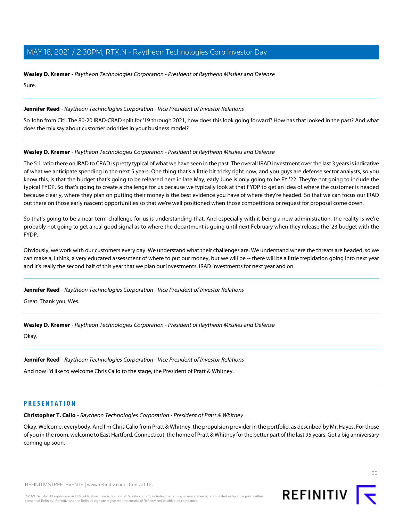### **Wesley D. Kremer** - Raytheon Technologies Corporation - President of Raytheon Missiles and Defense

Sure.

### **Jennifer Reed** - Raytheon Technologies Corporation - Vice President of Investor Relations

So John from Citi. The 80-20 IRAD-CRAD split for '19 through 2021, how does this look going forward? How has that looked in the past? And what does the mix say about customer priorities in your business model?

### **Wesley D. Kremer** - Raytheon Technologies Corporation - President of Raytheon Missiles and Defense

The 5:1 ratio there on IRAD to CRAD is pretty typical of what we have seen in the past. The overall IRAD investment over the last 3 years is indicative of what we anticipate spending in the next 5 years. One thing that's a little bit tricky right now, and you guys are defense sector analysts, so you know this, is that the budget that's going to be released here in late May, early June is only going to be FY '22. They're not going to include the typical FYDP. So that's going to create a challenge for us because we typically look at that FYDP to get an idea of where the customer is headed because clearly, where they plan on putting their money is the best evidence you have of where they're headed. So that we can focus our IRAD out there on those early nascent opportunities so that we're well positioned when those competitions or request for proposal come down.

So that's going to be a near-term challenge for us is understanding that. And especially with it being a new administration, the reality is we're probably not going to get a real good signal as to where the department is going until next February when they release the '23 budget with the FYDP.

Obviously, we work with our customers every day. We understand what their challenges are. We understand where the threats are headed, so we can make a, I think, a very educated assessment of where to put our money, but we will be -- there will be a little trepidation going into next year and it's really the second half of this year that we plan our investments, IRAD investments for next year and on.

### **Jennifer Reed** - Raytheon Technologies Corporation - Vice President of Investor Relations

Great. Thank you, Wes.

**Wesley D. Kremer** - Raytheon Technologies Corporation - President of Raytheon Missiles and Defense

Okay.

**Jennifer Reed** - Raytheon Technologies Corporation - Vice President of Investor Relations

<span id="page-29-0"></span>And now I'd like to welcome Chris Calio to the stage, the President of Pratt & Whitney.

# **PRESENTATION**

**Christopher T. Calio** - Raytheon Technologies Corporation - President of Pratt & Whitney

Okay. Welcome, everybody. And I'm Chris Calio from Pratt & Whitney, the propulsion provider in the portfolio, as described by Mr. Hayes. For those of you in the room, welcome to East Hartford, Connecticut, the home of Pratt & Whitney for the better part of the last 95 years. Got a big anniversary coming up soon.



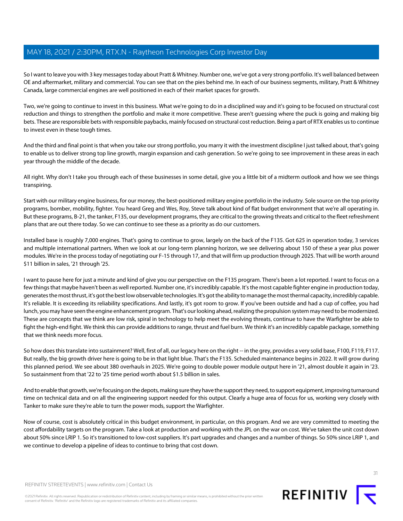So I want to leave you with 3 key messages today about Pratt & Whitney. Number one, we've got a very strong portfolio. It's well balanced between OE and aftermarket, military and commercial. You can see that on the pies behind me. In each of our business segments, military, Pratt & Whitney Canada, large commercial engines are well positioned in each of their market spaces for growth.

Two, we're going to continue to invest in this business. What we're going to do in a disciplined way and it's going to be focused on structural cost reduction and things to strengthen the portfolio and make it more competitive. These aren't guessing where the puck is going and making big bets. These are responsible bets with responsible paybacks, mainly focused on structural cost reduction. Being a part of RTX enables us to continue to invest even in these tough times.

And the third and final point is that when you take our strong portfolio, you marry it with the investment discipline I just talked about, that's going to enable us to deliver strong top line growth, margin expansion and cash generation. So we're going to see improvement in these areas in each year through the middle of the decade.

All right. Why don't I take you through each of these businesses in some detail, give you a little bit of a midterm outlook and how we see things transpiring.

Start with our military engine business, for our money, the best-positioned military engine portfolio in the industry. Sole source on the top priority programs, bomber, mobility, fighter. You heard Greg and Wes, Roy, Steve talk about kind of flat budget environment that we're all operating in. But these programs, B-21, the tanker, F135, our development programs, they are critical to the growing threats and critical to the fleet refreshment plans that are out there today. So we can continue to see these as a priority as do our customers.

Installed base is roughly 7,000 engines. That's going to continue to grow, largely on the back of the F135. Got 625 in operation today, 3 services and multiple international partners. When we look at our long-term planning horizon, we see delivering about 150 of these a year plus power modules. We're in the process today of negotiating our F-15 through 17, and that will firm up production through 2025. That will be worth around \$11 billion in sales, '21 through '25.

I want to pause here for just a minute and kind of give you our perspective on the F135 program. There's been a lot reported. I want to focus on a few things that maybe haven't been as well reported. Number one, it's incredibly capable. It's the most capable fighter engine in production today, generates the most thrust, it's got the best low observable technologies. It's got the ability to manage the most thermal capacity, incredibly capable. It's reliable. It is exceeding its reliability specifications. And lastly, it's got room to grow. If you've been outside and had a cup of coffee, you had lunch, you may have seen the engine enhancement program. That's our looking ahead, realizing the propulsion system may need to be modernized. These are concepts that we think are low risk, spiral in technology to help meet the evolving threats, continue to have the Warfighter be able to fight the high-end fight. We think this can provide additions to range, thrust and fuel burn. We think it's an incredibly capable package, something that we think needs more focus.

So how does this translate into sustainment? Well, first of all, our legacy here on the right -- in the grey, provides a very solid base, F100, F119, F117. But really, the big growth driver here is going to be in that light blue. That's the F135. Scheduled maintenance begins in 2022. It will grow during this planned period. We see about 380 overhauls in 2025. We're going to double power module output here in '21, almost double it again in '23. So sustainment from that '22 to '25 time period worth about \$1.5 billion in sales.

And to enable that growth, we're focusing on the depots, making sure they have the support they need, to support equipment, improving turnaround time on technical data and on all the engineering support needed for this output. Clearly a huge area of focus for us, working very closely with Tanker to make sure they're able to turn the power mods, support the Warfighter.

Now of course, cost is absolutely critical in this budget environment, in particular, on this program. And we are very committed to meeting the cost affordability targets on the program. Take a look at production and working with the JPL on the war on cost. We've taken the unit cost down about 50% since LRIP 1. So it's transitioned to low-cost suppliers. It's part upgrades and changes and a number of things. So 50% since LRIP 1, and we continue to develop a pipeline of ideas to continue to bring that cost down.

REFINITIV STREETEVENTS | [www.refinitiv.com](https://www.refinitiv.com/) | [Contact Us](https://www.refinitiv.com/en/contact-us)

©2021 Refinitiv. All rights reserved. Republication or redistribution of Refinitiv content, including by framing or similar means, is prohibited without the prior written consent of Refinitiv. 'Refinitiv' and the Refinitiv logo are registered trademarks of Refinitiv and its affiliated companies.



**REFINITIV**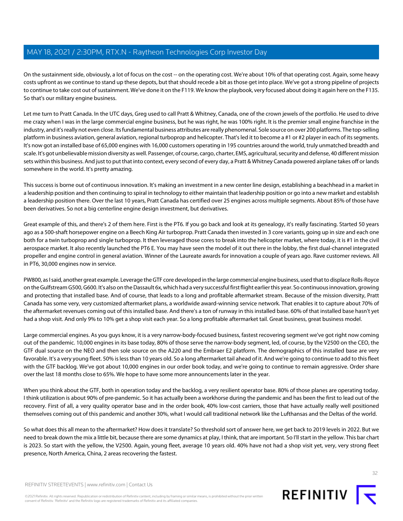On the sustainment side, obviously, a lot of focus on the cost -- on the operating cost. We're about 10% of that operating cost. Again, some heavy costs upfront as we continue to stand up these depots, but that should recede a bit as those get into place. We've got a strong pipeline of projects to continue to take cost out of sustainment. We've done it on the F119. We know the playbook, very focused about doing it again here on the F135. So that's our military engine business.

Let me turn to Pratt Canada. In the UTC days, Greg used to call Pratt & Whitney, Canada, one of the crown jewels of the portfolio. He used to drive me crazy when I was in the large commercial engine business, but he was right, he was 100% right. It is the premier small engine franchise in the industry, and it's really not even close. Its fundamental business attributes are really phenomenal. Sole source on over 200 platforms. The top-selling platform in business aviation, general aviation, regional turboprop and helicopter. That's led it to become a #1 or #2 player in each of its segments. It's now got an installed base of 65,000 engines with 16,000 customers operating in 195 countries around the world, truly unmatched breadth and scale. It's got unbelievable mission diversity as well. Passenger, of course, cargo, charter, EMS, agricultural, security and defense, 40 different mission sets within this business. And just to put that into context, every second of every day, a Pratt & Whitney Canada powered airplane takes off or lands somewhere in the world. It's pretty amazing.

This success is borne out of continuous innovation. It's making an investment in a new center line design, establishing a beachhead in a market in a leadership position and then continuing to spiral in technology to either maintain that leadership position or go into a new market and establish a leadership position there. Over the last 10 years, Pratt Canada has certified over 25 engines across multiple segments. About 85% of those have been derivatives. So not a big centerline engine design investment, but derivatives.

Great example of this, and there's 2 of them here. First is the PT6. If you go back and look at its genealogy, it's really fascinating. Started 50 years ago as a 500-shaft horsepower engine on a Beech King Air turboprop. Pratt Canada then invested in 3 core variants, going up in size and each one both for a twin turboprop and single turboprop. It then leveraged those cores to break into the helicopter market, where today, it is #1 in the civil aerospace market. It also recently launched the PT6 E. You may have seen the model of it out there in the lobby, the first dual-channel integrated propeller and engine control in general aviation. Winner of the Laureate awards for innovation a couple of years ago. Rave customer reviews. All in PT6, 30,000 engines now in service.

PW800, as I said, another great example. Leverage the GTF core developed in the large commercial engine business, used that to displace Rolls-Royce on the Gulfstream G500, G600. It's also on the Dassault 6x, which had a very successful first flight earlier this year. So continuous innovation, growing and protecting that installed base. And of course, that leads to a long and profitable aftermarket stream. Because of the mission diversity, Pratt Canada has some very, very customized aftermarket plans, a worldwide award-winning service network. That enables it to capture about 70% of the aftermarket revenues coming out of this installed base. And there's a ton of runway in this installed base. 60% of that installed base hasn't yet had a shop visit. And only 9% to 10% get a shop visit each year. So a long profitable aftermarket tail. Great business, great business model.

Large commercial engines. As you guys know, it is a very narrow-body-focused business, fastest recovering segment we've got right now coming out of the pandemic. 10,000 engines in its base today, 80% of those serve the narrow-body segment, led, of course, by the V2500 on the CEO, the GTF dual source on the NEO and then sole source on the A220 and the Embraer E2 platform. The demographics of this installed base are very favorable. It's a very young fleet. 50% is less than 10 years old. So a long aftermarket tail ahead of it. And we're going to continue to add to this fleet with the GTF backlog. We've got about 10,000 engines in our order book today, and we're going to continue to remain aggressive. Order share over the last 18 months close to 65%. We hope to have some more announcements later in the year.

When you think about the GTF, both in operation today and the backlog, a very resilient operator base. 80% of those planes are operating today. I think utilization is about 90% of pre-pandemic. So it has actually been a workhorse during the pandemic and has been the first to lead out of the recovery. First of all, a very quality operator base and in the order book, 40% low-cost carriers, those that have actually really well positioned themselves coming out of this pandemic and another 30%, what I would call traditional network like the Lufthansas and the Deltas of the world.

So what does this all mean to the aftermarket? How does it translate? So threshold sort of answer here, we get back to 2019 levels in 2022. But we need to break down the mix a little bit, because there are some dynamics at play, I think, that are important. So I'll start in the yellow. This bar chart is 2023. So start with the yellow, the V2500. Again, young fleet, average 10 years old. 40% have not had a shop visit yet, very, very strong fleet presence, North America, China, 2 areas recovering the fastest.



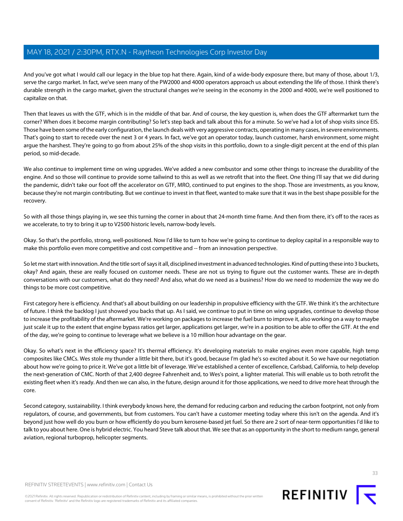And you've got what I would call our legacy in the blue top hat there. Again, kind of a wide-body exposure there, but many of those, about 1/3, serve the cargo market. In fact, we've seen many of the PW2000 and 4000 operators approach us about extending the life of those. I think there's durable strength in the cargo market, given the structural changes we're seeing in the economy in the 2000 and 4000, we're well positioned to capitalize on that.

Then that leaves us with the GTF, which is in the middle of that bar. And of course, the key question is, when does the GTF aftermarket turn the corner? When does it become margin contributing? So let's step back and talk about this for a minute. So we've had a lot of shop visits since EIS. Those have been some of the early configuration, the launch deals with very aggressive contracts, operating in many cases, in severe environments. That's going to start to recede over the next 3 or 4 years. In fact, we've got an operator today, launch customer, harsh environment, some might argue the harshest. They're going to go from about 25% of the shop visits in this portfolio, down to a single-digit percent at the end of this plan period, so mid-decade.

We also continue to implement time on wing upgrades. We've added a new combustor and some other things to increase the durability of the engine. And so those will continue to provide some tailwind to this as well as we retrofit that into the fleet. One thing I'll say that we did during the pandemic, didn't take our foot off the accelerator on GTF, MRO, continued to put engines to the shop. Those are investments, as you know, because they're not margin contributing. But we continue to invest in that fleet, wanted to make sure that it was in the best shape possible for the recovery.

So with all those things playing in, we see this turning the corner in about that 24-month time frame. And then from there, it's off to the races as we accelerate, to try to bring it up to V2500 historic levels, narrow-body levels.

Okay. So that's the portfolio, strong, well-positioned. Now I'd like to turn to how we're going to continue to deploy capital in a responsible way to make this portfolio even more competitive and cost competitive and -- from an innovation perspective.

So let me start with innovation. And the title sort of says it all, disciplined investment in advanced technologies. Kind of putting these into 3 buckets, okay? And again, these are really focused on customer needs. These are not us trying to figure out the customer wants. These are in-depth conversations with our customers, what do they need? And also, what do we need as a business? How do we need to modernize the way we do things to be more cost competitive.

First category here is efficiency. And that's all about building on our leadership in propulsive efficiency with the GTF. We think it's the architecture of future. I think the backlog I just showed you backs that up. As I said, we continue to put in time on wing upgrades, continue to develop those to increase the profitability of the aftermarket. We're working on packages to increase the fuel burn to improve it, also working on a way to maybe just scale it up to the extent that engine bypass ratios get larger, applications get larger, we're in a position to be able to offer the GTF. At the end of the day, we're going to continue to leverage what we believe is a 10 million hour advantage on the gear.

Okay. So what's next in the efficiency space? It's thermal efficiency. It's developing materials to make engines even more capable, high temp composites like CMCs. Wes stole my thunder a little bit there, but it's good, because I'm glad he's so excited about it. So we have our negotiation about how we're going to price it. We've got a little bit of leverage. We've established a center of excellence, Carlsbad, California, to help develop the next-generation of CMC. North of that 2,400 degree Fahrenheit and, to Wes's point, a lighter material. This will enable us to both retrofit the existing fleet when it's ready. And then we can also, in the future, design around it for those applications, we need to drive more heat through the core.

Second category, sustainability. I think everybody knows here, the demand for reducing carbon and reducing the carbon footprint, not only from regulators, of course, and governments, but from customers. You can't have a customer meeting today where this isn't on the agenda. And it's beyond just how well do you burn or how efficiently do you burn kerosene-based jet fuel. So there are 2 sort of near-term opportunities I'd like to talk to you about here. One is hybrid electric. You heard Steve talk about that. We see that as an opportunity in the short to medium range, general aviation, regional turboprop, helicopter segments.



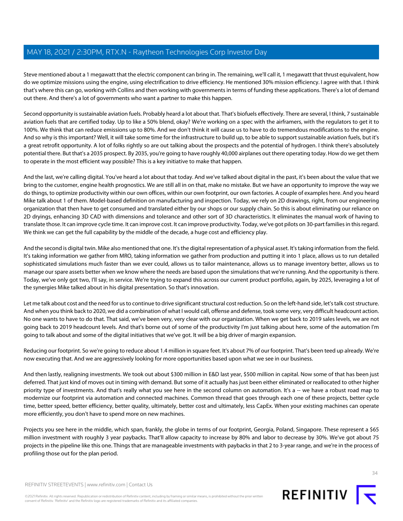Steve mentioned about a 1 megawatt that the electric component can bring in. The remaining, we'll call it, 1 megawatt that thrust equivalent, how do we optimize missions using the engine, using electrification to drive efficiency. He mentioned 30% mission efficiency. I agree with that. I think that's where this can go, working with Collins and then working with governments in terms of funding these applications. There's a lot of demand out there. And there's a lot of governments who want a partner to make this happen.

Second opportunity is sustainable aviation fuels. Probably heard a lot about that. That's biofuels effectively. There are several, I think, 7 sustainable aviation fuels that are certified today. Up to like a 50% blend, okay? We're working on a spec with the airframers, with the regulators to get it to 100%. We think that can reduce emissions up to 80%. And we don't think it will cause us to have to do tremendous modifications to the engine. And so why is this important? Well, it will take some time for the infrastructure to build up, to be able to support sustainable aviation fuels, but it's a great retrofit opportunity. A lot of folks rightly so are out talking about the prospects and the potential of hydrogen. I think there's absolutely potential there. But that's a 2035 prospect. By 2035, you're going to have roughly 40,000 airplanes out there operating today. How do we get them to operate in the most efficient way possible? This is a key initiative to make that happen.

And the last, we're calling digital. You've heard a lot about that today. And we've talked about digital in the past, it's been about the value that we bring to the customer, engine health prognostics. We are still all in on that, make no mistake. But we have an opportunity to improve the way we do things, to optimize productivity within our own offices, within our own footprint, our own factories. A couple of examples here. And you heard Mike talk about 1 of them. Model-based definition on manufacturing and inspection. Today, we rely on 2D drawings, right, from our engineering organization that then have to get consumed and translated either by our shops or our supply chain. So this is about eliminating our reliance on 2D dryings, enhancing 3D CAD with dimensions and tolerance and other sort of 3D characteristics. It eliminates the manual work of having to translate those. It can improve cycle time. It can improve cost. It can improve productivity. Today, we've got pilots on 30-part families in this regard. We think we can get the full capability by the middle of the decade, a huge cost and efficiency play.

And the second is digital twin. Mike also mentioned that one. It's the digital representation of a physical asset. It's taking information from the field. It's taking information we gather from MRO, taking information we gather from production and putting it into 1 place, allows us to run detailed sophisticated simulations much faster than we ever could, allows us to tailor maintenance, allows us to manage inventory better, allows us to manage our spare assets better when we know where the needs are based upon the simulations that we're running. And the opportunity is there. Today, we've only got two, I'll say, in service. We're trying to expand this across our current product portfolio, again, by 2025, leveraging a lot of the synergies Mike talked about in his digital presentation. So that's innovation.

Let me talk about cost and the need for us to continue to drive significant structural cost reduction. So on the left-hand side, let's talk cost structure. And when you think back to 2020, we did a combination of what I would call, offense and defense, took some very, very difficult headcount action. No one wants to have to do that. That said, we've been very, very clear with our organization. When we get back to 2019 sales levels, we are not going back to 2019 headcount levels. And that's borne out of some of the productivity I'm just talking about here, some of the automation I'm going to talk about and some of the digital initiatives that we've got. It will be a big driver of margin expansion.

Reducing our footprint. So we're going to reduce about 1.4 million in square feet. It's about 7% of our footprint. That's been teed up already. We're now executing that. And we are aggressively looking for more opportunities based upon what we see in our business.

And then lastly, realigning investments. We took out about \$300 million in E&D last year, \$500 million in capital. Now some of that has been just deferred. That just kind of moves out in timing with demand. But some of it actually has just been either eliminated or reallocated to other higher priority type of investments. And that's really what you see here in the second column on automation. It's a -- we have a robust road map to modernize our footprint via automation and connected machines. Common thread that goes through each one of these projects, better cycle time, better speed, better efficiency, better quality, ultimately, better cost and ultimately, less CapEx. When your existing machines can operate more efficiently, you don't have to spend more on new machines.

Projects you see here in the middle, which span, frankly, the globe in terms of our footprint, Georgia, Poland, Singapore. These represent a \$65 million investment with roughly 3 year paybacks. That'll allow capacity to increase by 80% and labor to decrease by 30%. We've got about 75 projects in the pipeline like this one. Things that are manageable investments with paybacks in that 2 to 3-year range, and we're in the process of profiling those out for the plan period.

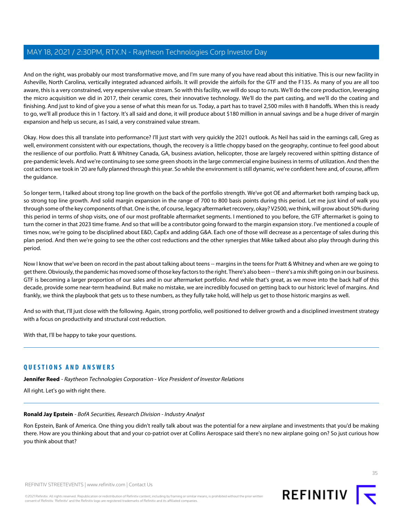And on the right, was probably our most transformative move, and I'm sure many of you have read about this initiative. This is our new facility in Asheville, North Carolina, vertically integrated advanced airfoils. It will provide the airfoils for the GTF and the F135. As many of you are all too aware, this is a very constrained, very expensive value stream. So with this facility, we will do soup to nuts. We'll do the core production, leveraging the micro acquisition we did in 2017, their ceramic cores, their innovative technology. We'll do the part casting, and we'll do the coating and finishing. And just to kind of give you a sense of what this mean for us. Today, a part has to travel 2,500 miles with 8 handoffs. When this is ready to go, we'll all produce this in 1 factory. It's all said and done, it will produce about \$180 million in annual savings and be a huge driver of margin expansion and help us secure, as I said, a very constrained value stream.

Okay. How does this all translate into performance? I'll just start with very quickly the 2021 outlook. As Neil has said in the earnings call, Greg as well, environment consistent with our expectations, though, the recovery is a little choppy based on the geography, continue to feel good about the resilience of our portfolio. Pratt & Whitney Canada, GA, business aviation, helicopter, those are largely recovered within spitting distance of pre-pandemic levels. And we're continuing to see some green shoots in the large commercial engine business in terms of utilization. And then the cost actions we took in '20 are fully planned through this year. So while the environment is still dynamic, we're confident here and, of course, affirm the guidance.

So longer term, I talked about strong top line growth on the back of the portfolio strength. We've got OE and aftermarket both ramping back up, so strong top line growth. And solid margin expansion in the range of 700 to 800 basis points during this period. Let me just kind of walk you through some of the key components of that. One is the, of course, legacy aftermarket recovery, okay? V2500, we think, will grow about 50% during this period in terms of shop visits, one of our most profitable aftermarket segments. I mentioned to you before, the GTF aftermarket is going to turn the corner in that 2023 time frame. And so that will be a contributor going forward to the margin expansion story. I've mentioned a couple of times now, we're going to be disciplined about E&D, CapEx and adding G&A. Each one of those will decrease as a percentage of sales during this plan period. And then we're going to see the other cost reductions and the other synergies that Mike talked about also play through during this period.

Now I know that we've been on record in the past about talking about teens -- margins in the teens for Pratt & Whitney and when are we going to get there. Obviously, the pandemic has moved some of those key factors to the right. There's also been -- there's a mix shift going on in our business. GTF is becoming a larger proportion of our sales and in our aftermarket portfolio. And while that's great, as we move into the back half of this decade, provide some near-term headwind. But make no mistake, we are incredibly focused on getting back to our historic level of margins. And frankly, we think the playbook that gets us to these numbers, as they fully take hold, will help us get to those historic margins as well.

And so with that, I'll just close with the following. Again, strong portfolio, well positioned to deliver growth and a disciplined investment strategy with a focus on productivity and structural cost reduction.

With that, I'll be happy to take your questions.

### **QUESTIONS AND ANSWERS**

**Jennifer Reed** - Raytheon Technologies Corporation - Vice President of Investor Relations

All right. Let's go with right there.

### **Ronald Jay Epstein** - BofA Securities, Research Division - Industry Analyst

Ron Epstein, Bank of America. One thing you didn't really talk about was the potential for a new airplane and investments that you'd be making there. How are you thinking about that and your co-patriot over at Collins Aerospace said there's no new airplane going on? So just curious how you think about that?

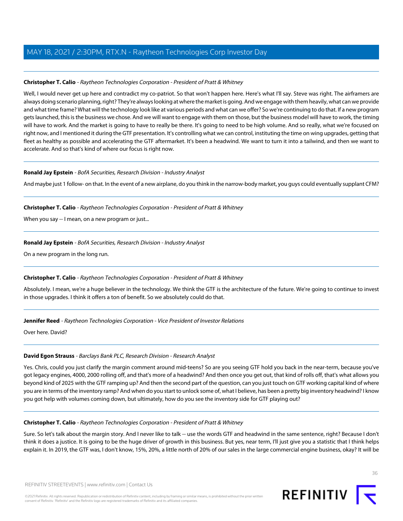### **Christopher T. Calio** - Raytheon Technologies Corporation - President of Pratt & Whitney

Well, I would never get up here and contradict my co-patriot. So that won't happen here. Here's what I'll say. Steve was right. The airframers are always doing scenario planning, right? They're always looking at where the market is going. And we engage with them heavily, what can we provide and what time frame? What will the technology look like at various periods and what can we offer? So we're continuing to do that. If a new program gets launched, this is the business we chose. And we will want to engage with them on those, but the business model will have to work, the timing will have to work. And the market is going to have to really be there. It's going to need to be high volume. And so really, what we're focused on right now, and I mentioned it during the GTF presentation. It's controlling what we can control, instituting the time on wing upgrades, getting that fleet as healthy as possible and accelerating the GTF aftermarket. It's been a headwind. We want to turn it into a tailwind, and then we want to accelerate. And so that's kind of where our focus is right now.

### **Ronald Jay Epstein** - BofA Securities, Research Division - Industry Analyst

And maybe just 1 follow- on that. In the event of a new airplane, do you think in the narrow-body market, you guys could eventually supplant CFM?

### **Christopher T. Calio** - Raytheon Technologies Corporation - President of Pratt & Whitney

When you say -- I mean, on a new program or just...

### **Ronald Jay Epstein** - BofA Securities, Research Division - Industry Analyst

On a new program in the long run.

### **Christopher T. Calio** - Raytheon Technologies Corporation - President of Pratt & Whitney

Absolutely. I mean, we're a huge believer in the technology. We think the GTF is the architecture of the future. We're going to continue to invest in those upgrades. I think it offers a ton of benefit. So we absolutely could do that.

### **Jennifer Reed** - Raytheon Technologies Corporation - Vice President of Investor Relations

Over here. David?

### **David Egon Strauss** - Barclays Bank PLC, Research Division - Research Analyst

Yes. Chris, could you just clarify the margin comment around mid-teens? So are you seeing GTF hold you back in the near-term, because you've got legacy engines, 4000, 2000 rolling off, and that's more of a headwind? And then once you get out, that kind of rolls off, that's what allows you beyond kind of 2025 with the GTF ramping up? And then the second part of the question, can you just touch on GTF working capital kind of where you are in terms of the inventory ramp? And when do you start to unlock some of, what I believe, has been a pretty big inventory headwind? I know you got help with volumes coming down, but ultimately, how do you see the inventory side for GTF playing out?

### **Christopher T. Calio** - Raytheon Technologies Corporation - President of Pratt & Whitney

Sure. So let's talk about the margin story. And I never like to talk -- use the words GTF and headwind in the same sentence, right? Because I don't think it does a justice. It is going to be the huge driver of growth in this business. But yes, near term, I'll just give you a statistic that I think helps explain it. In 2019, the GTF was, I don't know, 15%, 20%, a little north of 20% of our sales in the large commercial engine business, okay? It will be

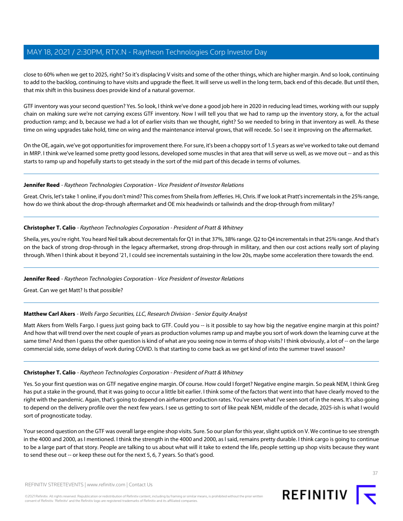close to 60% when we get to 2025, right? So it's displacing V visits and some of the other things, which are higher margin. And so look, continuing to add to the backlog, continuing to have visits and upgrade the fleet. It will serve us well in the long term, back end of this decade. But until then, that mix shift in this business does provide kind of a natural governor.

GTF inventory was your second question? Yes. So look, I think we've done a good job here in 2020 in reducing lead times, working with our supply chain on making sure we're not carrying excess GTF inventory. Now I will tell you that we had to ramp up the inventory story, a, for the actual production ramp; and b, because we had a lot of earlier visits than we thought, right? So we needed to bring in that inventory as well. As these time on wing upgrades take hold, time on wing and the maintenance interval grows, that will recede. So I see it improving on the aftermarket.

On the OE, again, we've got opportunities for improvement there. For sure, it's been a choppy sort of 1.5 years as we've worked to take out demand in MRP. I think we've learned some pretty good lessons, developed some muscles in that area that will serve us well, as we move out -- and as this starts to ramp up and hopefully starts to get steady in the sort of the mid part of this decade in terms of volumes.

### **Jennifer Reed** - Raytheon Technologies Corporation - Vice President of Investor Relations

Great. Chris, let's take 1 online, if you don't mind? This comes from Sheila from Jefferies. Hi, Chris. If we look at Pratt's incrementals in the 25% range, how do we think about the drop-through aftermarket and OE mix headwinds or tailwinds and the drop-through from military?

### **Christopher T. Calio** - Raytheon Technologies Corporation - President of Pratt & Whitney

Sheila, yes, you're right. You heard Neil talk about decrementals for Q1 in that 37%, 38% range. Q2 to Q4 incrementals in that 25% range. And that's on the back of strong drop-through in the legacy aftermarket, strong drop-through in military, and then our cost actions really sort of playing through. When I think about it beyond '21, I could see incrementals sustaining in the low 20s, maybe some acceleration there towards the end.

### <span id="page-36-0"></span>**Jennifer Reed** - Raytheon Technologies Corporation - Vice President of Investor Relations

Great. Can we get Matt? Is that possible?

### **Matthew Carl Akers** - Wells Fargo Securities, LLC, Research Division - Senior Equity Analyst

Matt Akers from Wells Fargo. I guess just going back to GTF. Could you -- is it possible to say how big the negative engine margin at this point? And how that will trend over the next couple of years as production volumes ramp up and maybe you sort of work down the learning curve at the same time? And then I guess the other question is kind of what are you seeing now in terms of shop visits? I think obviously, a lot of -- on the large commercial side, some delays of work during COVID. Is that starting to come back as we get kind of into the summer travel season?

#### **Christopher T. Calio** - Raytheon Technologies Corporation - President of Pratt & Whitney

Yes. So your first question was on GTF negative engine margin. Of course. How could I forget? Negative engine margin. So peak NEM, I think Greg has put a stake in the ground, that it was going to occur a little bit earlier. I think some of the factors that went into that have clearly moved to the right with the pandemic. Again, that's going to depend on airframer production rates. You've seen what I've seen sort of in the news. It's also going to depend on the delivery profile over the next few years. I see us getting to sort of like peak NEM, middle of the decade, 2025-ish is what I would sort of prognosticate today.

Your second question on the GTF was overall large engine shop visits. Sure. So our plan for this year, slight uptick on V. We continue to see strength in the 4000 and 2000, as I mentioned. I think the strength in the 4000 and 2000, as I said, remains pretty durable. I think cargo is going to continue to be a large part of that story. People are talking to us about what will it take to extend the life, people setting up shop visits because they want to send these out -- or keep these out for the next 5, 6, 7 years. So that's good.

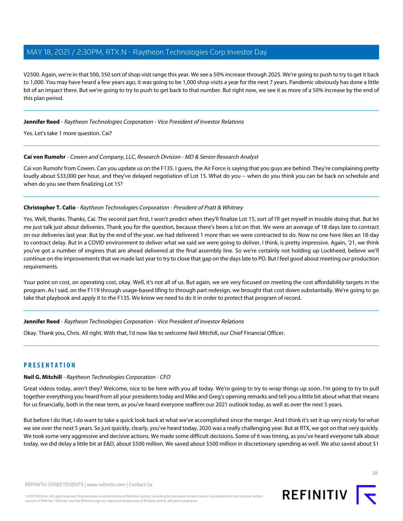V2500. Again, we're in that 500, 550 sort of shop visit range this year. We see a 50% increase through 2025. We're going to push to try to get it back to 1,000. You may have heard a few years ago, it was going to be 1,000 shop visits a year for the next 7 years. Pandemic obviously has done a little bit of an impact there. But we're going to try to push to get back to that number. But right now, we see it as more of a 50% increase by the end of this plan period.

#### **Jennifer Reed** - Raytheon Technologies Corporation - Vice President of Investor Relations

Yes. Let's take 1 more question. Cai?

#### **Cai von Rumohr** - Cowen and Company, LLC, Research Division - MD & Senior Research Analyst

Cai von Rumohr from Cowen. Can you update us on the F135. I guess, the Air Force is saying that you guys are behind. They're complaining pretty loudly about \$33,000 per hour, and they've delayed negotiation of Lot 15. What do you -- when do you think you can be back on schedule and when do you see them finalizing Lot 15?

### **Christopher T. Calio** - Raytheon Technologies Corporation - President of Pratt & Whitney

Yes. Well, thanks. Thanks, Cai. The second part first, I won't predict when they'll finalize Lot 15, sort of I'll get myself in trouble doing that. But let me just talk just about deliveries. Thank you for the question, because there's been a lot on that. We were an average of 18 days late to contract on our deliveries last year. But by the end of the year, we had delivered 1 more than we were contracted to do. Now no one here likes an 18-day to contract delay. But in a COVID environment to deliver what we said we were going to deliver, I think, is pretty impressive. Again, '21, we think you've got a number of engines that are ahead delivered at the final assembly line. So we're certainly not holding up Lockheed, believe we'll continue on the improvements that we made last year to try to close that gap on the days late to PO. But I feel good about meeting our production requirements.

Your point on cost, on operating cost, okay. Well, it's not all of us. But again, we are very focused on meeting the cost affordability targets in the program. As I said, on the F119 through usage-based lifing to through part redesign, we brought that cost down substantially. We're going to go take that playbook and apply it to the F135. We know we need to do it in order to protect that program of record.

**Jennifer Reed** - Raytheon Technologies Corporation - Vice President of Investor Relations

<span id="page-37-0"></span>Okay. Thank you, Chris. All right. With that, I'd now like to welcome Neil Mitchill, our Chief Financial Officer.

### **PRESENTATION**

#### **Neil G. Mitchill** - Raytheon Technologies Corporation - CFO

Great videos today, aren't they? Welcome, nice to be here with you all today. We're going to try to wrap things up soon. I'm going to try to pull together everything you heard from all your presidents today and Mike and Greg's opening remarks and tell you a little bit about what that means for us financially, both in the near term, as you've heard everyone reaffirm our 2021 outlook today, as well as over the next 5 years.

But before I do that, I do want to take a quick look back at what we've accomplished since the merger. And I think it's set it up very nicely for what we see over the next 5 years. So just quickly, clearly, you've heard today, 2020 was a really challenging year. But at RTX, we got on that very quickly. We took some very aggressive and decisive actions. We made some difficult decisions. Some of it was timing, as you've heard everyone talk about today, we did delay a little bit at E&D, about \$500 million. We saved about \$500 million in discretionary spending as well. We also saved about \$1



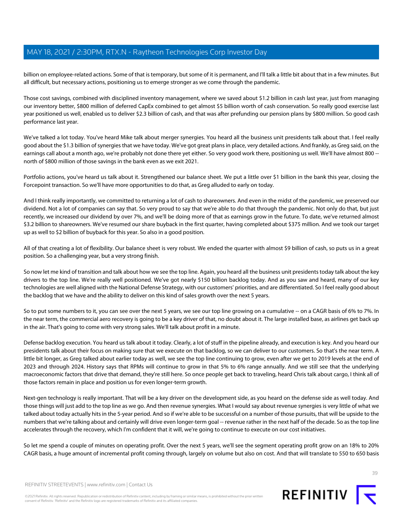billion on employee-related actions. Some of that is temporary, but some of it is permanent, and I'll talk a little bit about that in a few minutes. But all difficult, but necessary actions, positioning us to emerge stronger as we come through the pandemic.

Those cost savings, combined with disciplined inventory management, where we saved about \$1.2 billion in cash last year, just from managing our inventory better, \$800 million of deferred CapEx combined to get almost \$5 billion worth of cash conservation. So really good exercise last year positioned us well, enabled us to deliver \$2.3 billion of cash, and that was after prefunding our pension plans by \$800 million. So good cash performance last year.

We've talked a lot today. You've heard Mike talk about merger synergies. You heard all the business unit presidents talk about that. I feel really good about the \$1.3 billion of synergies that we have today. We've got great plans in place, very detailed actions. And frankly, as Greg said, on the earnings call about a month ago, we're probably not done there yet either. So very good work there, positioning us well. We'll have almost 800 -north of \$800 million of those savings in the bank even as we exit 2021.

Portfolio actions, you've heard us talk about it. Strengthened our balance sheet. We put a little over \$1 billion in the bank this year, closing the Forcepoint transaction. So we'll have more opportunities to do that, as Greg alluded to early on today.

And I think really importantly, we committed to returning a lot of cash to shareowners. And even in the midst of the pandemic, we preserved our dividend. Not a lot of companies can say that. So very proud to say that we're able to do that through the pandemic. Not only do that, but just recently, we increased our dividend by over 7%, and we'll be doing more of that as earnings grow in the future. To date, we've returned almost \$3.2 billion to shareowners. We've resumed our share buyback in the first quarter, having completed about \$375 million. And we took our target up as well to \$2 billion of buyback for this year. So also in a good position.

All of that creating a lot of flexibility. Our balance sheet is very robust. We ended the quarter with almost \$9 billion of cash, so puts us in a great position. So a challenging year, but a very strong finish.

So now let me kind of transition and talk about how we see the top line. Again, you heard all the business unit presidents today talk about the key drivers to the top line. We're really well positioned. We've got nearly \$150 billion backlog today. And as you saw and heard, many of our key technologies are well aligned with the National Defense Strategy, with our customers' priorities, and are differentiated. So I feel really good about the backlog that we have and the ability to deliver on this kind of sales growth over the next 5 years.

So to put some numbers to it, you can see over the next 5 years, we see our top line growing on a cumulative -- on a CAGR basis of 6% to 7%. In the near term, the commercial aero recovery is going to be a key driver of that, no doubt about it. The large installed base, as airlines get back up in the air. That's going to come with very strong sales. We'll talk about profit in a minute.

Defense backlog execution. You heard us talk about it today. Clearly, a lot of stuff in the pipeline already, and execution is key. And you heard our presidents talk about their focus on making sure that we execute on that backlog, so we can deliver to our customers. So that's the near term. A little bit longer, as Greg talked about earlier today as well, we see the top line continuing to grow, even after we get to 2019 levels at the end of 2023 and through 2024. History says that RPMs will continue to grow in that 5% to 6% range annually. And we still see that the underlying macroeconomic factors that drive that demand, they're still here. So once people get back to traveling, heard Chris talk about cargo, I think all of those factors remain in place and position us for even longer-term growth.

Next-gen technology is really important. That will be a key driver on the development side, as you heard on the defense side as well today. And those things will just add to the top line as we go. And then revenue synergies. What I would say about revenue synergies is very little of what we talked about today actually hits in the 5-year period. And so if we're able to be successful on a number of those pursuits, that will be upside to the numbers that we're talking about and certainly will drive even longer-term goal -- revenue rather in the next half of the decade. So as the top line accelerates through the recovery, which I'm confident that it will, we're going to continue to execute on our cost initiatives.

So let me spend a couple of minutes on operating profit. Over the next 5 years, we'll see the segment operating profit grow on an 18% to 20% CAGR basis, a huge amount of incremental profit coming through, largely on volume but also on cost. And that will translate to 550 to 650 basis

39

REFINITIV STREETEVENTS | [www.refinitiv.com](https://www.refinitiv.com/) | [Contact Us](https://www.refinitiv.com/en/contact-us)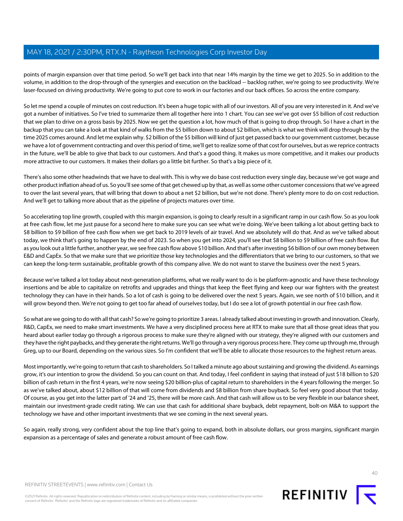points of margin expansion over that time period. So we'll get back into that near 14% margin by the time we get to 2025. So in addition to the volume, in addition to the drop-through of the synergies and execution on the backload -- backlog rather, we're going to see productivity. We're laser-focused on driving productivity. We're going to put core to work in our factories and our back offices. So across the entire company.

So let me spend a couple of minutes on cost reduction. It's been a huge topic with all of our investors. All of you are very interested in it. And we've got a number of initiatives. So I've tried to summarize them all together here into 1 chart. You can see we've got over \$5 billion of cost reduction that we plan to drive on a gross basis by 2025. Now we get the question a lot, how much of that is going to drop through. So I have a chart in the backup that you can take a look at that kind of walks from the \$5 billion down to about \$2 billion, which is what we think will drop through by the time 2025 comes around. And let me explain why. \$2 billion of the \$5 billion will kind of just get passed back to our government customer, because we have a lot of government contracting and over this period of time, we'll get to realize some of that cost for ourselves, but as we reprice contracts in the future, we'll be able to give that back to our customers. And that's a good thing. It makes us more competitive, and it makes our products more attractive to our customers. It makes their dollars go a little bit further. So that's a big piece of it.

There's also some other headwinds that we have to deal with. This is why we do base cost reduction every single day, because we've got wage and other product inflation ahead of us. So you'll see some of that get chewed up by that, as well as some other customer concessions that we've agreed to over the last several years, that will bring that down to about a net \$2 billion, but we're not done. There's plenty more to do on cost reduction. And we'll get to talking more about that as the pipeline of projects matures over time.

So accelerating top line growth, coupled with this margin expansion, is going to clearly result in a significant ramp in our cash flow. So as you look at free cash flow, let me just pause for a second here to make sure you can see what we're doing. We've been talking a lot about getting back to \$8 billion to \$9 billion of free cash flow when we get back to 2019 levels of air travel. And we absolutely will do that. And as we've talked about today, we think that's going to happen by the end of 2023. So when you get into 2024, you'll see that \$8 billion to \$9 billion of free cash flow. But as you look out a little further, another year, we see free cash flow above \$10 billion. And that's after investing \$6 billion of our own money between E&D and CapEx. So that we make sure that we prioritize those key technologies and the differentiators that we bring to our customers, so that we can keep the long-term sustainable, profitable growth of this company alive. We do not want to starve the business over the next 5 years.

Because we've talked a lot today about next-generation platforms, what we really want to do is be platform-agnostic and have these technology insertions and be able to capitalize on retrofits and upgrades and things that keep the fleet flying and keep our war fighters with the greatest technology they can have in their hands. So a lot of cash is going to be delivered over the next 5 years. Again, we see north of \$10 billion, and it will grow beyond then. We're not going to get too far ahead of ourselves today, but I do see a lot of growth potential in our free cash flow.

So what are we going to do with all that cash? So we're going to prioritize 3 areas. I already talked about investing in growth and innovation. Clearly, R&D, CapEx, we need to make smart investments. We have a very disciplined process here at RTX to make sure that all those great ideas that you heard about earlier today go through a rigorous process to make sure they're aligned with our strategy, they're aligned with our customers and they have the right paybacks, and they generate the right returns. We'll go through a very rigorous process here. They come up through me, through Greg, up to our Board, depending on the various sizes. So I'm confident that we'll be able to allocate those resources to the highest return areas.

Most importantly, we're going to return that cash to shareholders. So I talked a minute ago about sustaining and growing the dividend. As earnings grow, it's our intention to grow the dividend. So you can count on that. And today, I feel confident in saying that instead of just \$18 billion to \$20 billion of cash return in the first 4 years, we're now seeing \$20 billion-plus of capital return to shareholders in the 4 years following the merger. So as we've talked about, about \$12 billion of that will come from dividends and \$8 billion from share buyback. So feel very good about that today. Of course, as you get into the latter part of '24 and '25, there will be more cash. And that cash will allow us to be very flexible in our balance sheet, maintain our investment-grade credit rating. We can use that cash for additional share buyback, debt repayment, bolt-on M&A to support the technology we have and other important investments that we see coming in the next several years.

So again, really strong, very confident about the top line that's going to expand, both in absolute dollars, our gross margins, significant margin expansion as a percentage of sales and generate a robust amount of free cash flow.



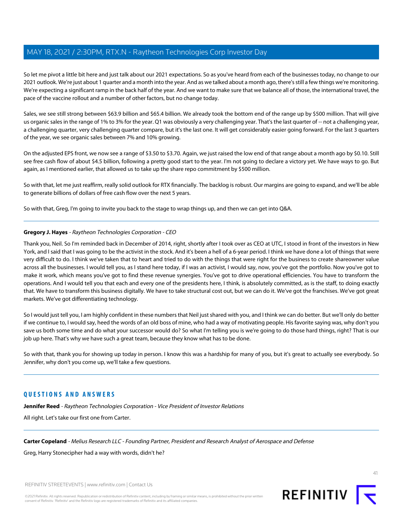So let me pivot a little bit here and just talk about our 2021 expectations. So as you've heard from each of the businesses today, no change to our 2021 outlook. We're just about 1 quarter and a month into the year. And as we talked about a month ago, there's still a few things we're monitoring. We're expecting a significant ramp in the back half of the year. And we want to make sure that we balance all of those, the international travel, the pace of the vaccine rollout and a number of other factors, but no change today.

Sales, we see still strong between \$63.9 billion and \$65.4 billion. We already took the bottom end of the range up by \$500 million. That will give us organic sales in the range of 1% to 3% for the year. Q1 was obviously a very challenging year. That's the last quarter of -- not a challenging year, a challenging quarter, very challenging quarter compare, but it's the last one. It will get considerably easier going forward. For the last 3 quarters of the year, we see organic sales between 7% and 10% growing.

On the adjusted EPS front, we now see a range of \$3.50 to \$3.70. Again, we just raised the low end of that range about a month ago by \$0.10. Still see free cash flow of about \$4.5 billion, following a pretty good start to the year. I'm not going to declare a victory yet. We have ways to go. But again, as I mentioned earlier, that allowed us to take up the share repo commitment by \$500 million.

So with that, let me just reaffirm, really solid outlook for RTX financially. The backlog is robust. Our margins are going to expand, and we'll be able to generate billions of dollars of free cash flow over the next 5 years.

So with that, Greg, I'm going to invite you back to the stage to wrap things up, and then we can get into Q&A.

### **Gregory J. Hayes** - Raytheon Technologies Corporation - CEO

Thank you, Neil. So I'm reminded back in December of 2014, right, shortly after I took over as CEO at UTC, I stood in front of the investors in New York, and I said that I was going to be the activist in the stock. And it's been a hell of a 6-year period. I think we have done a lot of things that were very difficult to do. I think we've taken that to heart and tried to do with the things that were right for the business to create shareowner value across all the businesses. I would tell you, as I stand here today, if I was an activist, I would say, now, you've got the portfolio. Now you've got to make it work, which means you've got to find these revenue synergies. You've got to drive operational efficiencies. You have to transform the operations. And I would tell you that each and every one of the presidents here, I think, is absolutely committed, as is the staff, to doing exactly that. We have to transform this business digitally. We have to take structural cost out, but we can do it. We've got the franchises. We've got great markets. We've got differentiating technology.

So I would just tell you, I am highly confident in these numbers that Neil just shared with you, and I think we can do better. But we'll only do better if we continue to, I would say, heed the words of an old boss of mine, who had a way of motivating people. His favorite saying was, why don't you save us both some time and do what your successor would do? So what I'm telling you is we're going to do those hard things, right? That is our job up here. That's why we have such a great team, because they know what has to be done.

So with that, thank you for showing up today in person. I know this was a hardship for many of you, but it's great to actually see everybody. So Jennifer, why don't you come up, we'll take a few questions.

### **QUESTIONS AND ANSWERS**

**Jennifer Reed** - Raytheon Technologies Corporation - Vice President of Investor Relations

All right. Let's take our first one from Carter.

#### **Carter Copeland** - Melius Research LLC - Founding Partner, President and Research Analyst of Aerospace and Defense

Greg, Harry Stonecipher had a way with words, didn't he?

REFINITIV STREETEVENTS | [www.refinitiv.com](https://www.refinitiv.com/) | [Contact Us](https://www.refinitiv.com/en/contact-us)

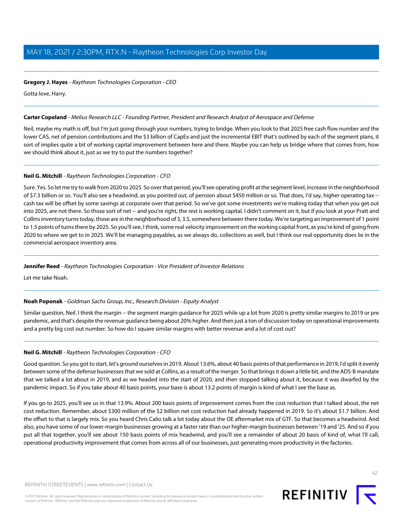### **Gregory J. Hayes** - Raytheon Technologies Corporation - CEO

Gotta love, Harry.

### **Carter Copeland** - Melius Research LLC - Founding Partner, President and Research Analyst of Aerospace and Defense

Neil, maybe my math is off, but I'm just going through your numbers, trying to bridge. When you look to that 2025 free cash flow number and the lower CAS, net of pension contributions and the \$3 billion of CapEx and just the incremental EBIT that's outlined by each of the segment plans, it sort of implies quite a bit of working capital improvement between here and there. Maybe you can help us bridge where that comes from, how we should think about it, just as we try to put the numbers together?

### **Neil G. Mitchill** - Raytheon Technologies Corporation - CFO

Sure. Yes. So let me try to walk from 2020 to 2025. So over that period, you'll see operating profit at the segment level, increase in the neighborhood of \$7.3 billion or so. You'll also see a headwind, as you pointed out, of pension about \$450 million or so. That does, I'd say, higher operating tax -cash tax will be offset by some savings at corporate over that period. So we've got some investments we're making today that when you get out into 2025, are not there. So those sort of net -- and you're right, the rest is working capital. I didn't comment on it, but if you look at your Pratt and Collins inventory turns today, those are in the neighborhood of 3, 3.5, somewhere between there today. We're targeting an improvement of 1 point to 1.5 points of turns there by 2025. So you'll see, I think, some real velocity improvement on the working capital front, as you're kind of going from 2020 to where we get to in 2025. We'll be managing payables, as we always do, collections as well, but I think our real opportunity does lie in the commercial aerospace inventory area.

### **Jennifer Reed** - Raytheon Technologies Corporation - Vice President of Investor Relations

Let me take Noah.

### **Noah Poponak** - Goldman Sachs Group, Inc., Research Division - Equity Analyst

Similar question, Neil. I think the margin -- the segment margin guidance for 2025 while up a lot from 2020 is pretty similar margins to 2019 or pre pandemic, and that's despite the revenue guidance being about 20% higher. And then just a ton of discussion today on operational improvements and a pretty big cost out number. So how do I square similar margins with better revenue and a lot of cost out?

### **Neil G. Mitchill** - Raytheon Technologies Corporation - CFO

Good question. So you got to start, let's ground ourselves in 2019. About 13.6%, about 40 basis points of that performance in 2019, I'd split it evenly between some of the defense businesses that we sold at Collins, as a result of the merger. So that brings it down a little bit, and the ADS-B mandate that we talked a lot about in 2019, and as we headed into the start of 2020, and then stopped talking about it, because it was dwarfed by the pandemic impact. So if you take about 40 basis points, your base is about 13.2 points of margin is kind of what I see the base as.

If you go to 2025, you'll see us in that 13.9%. About 200 basis points of improvement comes from the cost reduction that I talked about, the net cost reduction. Remember, about \$300 million of the \$2 billion net cost reduction had already happened in 2019. So it's about \$1.7 billion. And the offset to that is largely mix. So you heard Chris Calio talk a lot today about the OE aftermarket mix of GTF. So that becomes a headwind. And also, you have some of our lower-margin businesses growing at a faster rate than our higher-margin businesses between '19 and '25. And so if you put all that together, you'll see about 150 basis points of mix headwind, and you'll see a remainder of about 20 basis of kind of, what I'll call, operational productivity improvement that comes from across all of our businesses, just generating more productivity in the factories.

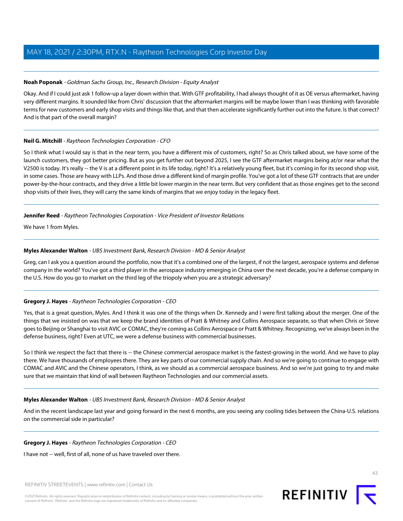### **Noah Poponak** - Goldman Sachs Group, Inc., Research Division - Equity Analyst

Okay. And if I could just ask 1 follow-up a layer down within that. With GTF profitability, I had always thought of it as OE versus aftermarket, having very different margins. It sounded like from Chris' discussion that the aftermarket margins will be maybe lower than I was thinking with favorable terms for new customers and early shop visits and things like that, and that then accelerate significantly further out into the future. Is that correct? And is that part of the overall margin?

### **Neil G. Mitchill** - Raytheon Technologies Corporation - CFO

So I think what I would say is that in the near term, you have a different mix of customers, right? So as Chris talked about, we have some of the launch customers, they got better pricing. But as you get further out beyond 2025, I see the GTF aftermarket margins being at/or near what the V2500 is today. It's really -- the V is at a different point in its life today, right? It's a relatively young fleet, but it's coming in for its second shop visit, in some cases. Those are heavy with LLPs. And those drive a different kind of margin profile. You've got a lot of these GTF contracts that are under power-by-the-hour contracts, and they drive a little bit lower margin in the near term. But very confident that as those engines get to the second shop visits of their lives, they will carry the same kinds of margins that we enjoy today in the legacy fleet.

### **Jennifer Reed** - Raytheon Technologies Corporation - Vice President of Investor Relations

We have 1 from Myles.

### **Myles Alexander Walton** - UBS Investment Bank, Research Division - MD & Senior Analyst

Greg, can I ask you a question around the portfolio, now that it's a combined one of the largest, if not the largest, aerospace systems and defense company in the world? You've got a third player in the aerospace industry emerging in China over the next decade, you're a defense company in the U.S. How do you go to market on the third leg of the triopoly when you are a strategic adversary?

### **Gregory J. Hayes** - Raytheon Technologies Corporation - CEO

Yes, that is a great question, Myles. And I think it was one of the things when Dr. Kennedy and I were first talking about the merger. One of the things that we insisted on was that we keep the brand identities of Pratt & Whitney and Collins Aerospace separate, so that when Chris or Steve goes to Beijing or Shanghai to visit AVIC or COMAC, they're coming as Collins Aerospace or Pratt & Whitney. Recognizing, we've always been in the defense business, right? Even at UTC, we were a defense business with commercial businesses.

So I think we respect the fact that there is -- the Chinese commercial aerospace market is the fastest-growing in the world. And we have to play there. We have thousands of employees there. They are key parts of our commercial supply chain. And so we're going to continue to engage with COMAC and AVIC and the Chinese operators, I think, as we should as a commercial aerospace business. And so we're just going to try and make sure that we maintain that kind of wall between Raytheon Technologies and our commercial assets.

### **Myles Alexander Walton** - UBS Investment Bank, Research Division - MD & Senior Analyst

And in the recent landscape last year and going forward in the next 6 months, are you seeing any cooling tides between the China-U.S. relations on the commercial side in particular?

### **Gregory J. Hayes** - Raytheon Technologies Corporation - CEO

I have not -- well, first of all, none of us have traveled over there.

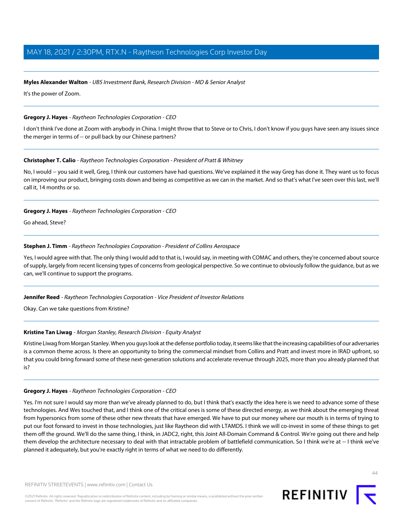#### **Myles Alexander Walton** - UBS Investment Bank, Research Division - MD & Senior Analyst

It's the power of Zoom.

#### **Gregory J. Hayes** - Raytheon Technologies Corporation - CEO

I don't think I've done at Zoom with anybody in China. I might throw that to Steve or to Chris, I don't know if you guys have seen any issues since the merger in terms of -- or pull back by our Chinese partners?

### **Christopher T. Calio** - Raytheon Technologies Corporation - President of Pratt & Whitney

No, I would -- you said it well, Greg, I think our customers have had questions. We've explained it the way Greg has done it. They want us to focus on improving our product, bringing costs down and being as competitive as we can in the market. And so that's what I've seen over this last, we'll call it, 14 months or so.

#### **Gregory J. Hayes** - Raytheon Technologies Corporation - CEO

Go ahead, Steve?

#### **Stephen J. Timm** - Raytheon Technologies Corporation - President of Collins Aerospace

Yes, I would agree with that. The only thing I would add to that is, I would say, in meeting with COMAC and others, they're concerned about source of supply, largely from recent licensing types of concerns from geological perspective. So we continue to obviously follow the guidance, but as we can, we'll continue to support the programs.

### **Jennifer Reed** - Raytheon Technologies Corporation - Vice President of Investor Relations

Okay. Can we take questions from Kristine?

### **Kristine Tan Liwag** - Morgan Stanley, Research Division - Equity Analyst

Kristine Liwag from Morgan Stanley. When you guys look at the defense portfolio today, it seems like that the increasing capabilities of our adversaries is a common theme across. Is there an opportunity to bring the commercial mindset from Collins and Pratt and invest more in IRAD upfront, so that you could bring forward some of these next-generation solutions and accelerate revenue through 2025, more than you already planned that is?

#### **Gregory J. Hayes** - Raytheon Technologies Corporation - CEO

Yes. I'm not sure I would say more than we've already planned to do, but I think that's exactly the idea here is we need to advance some of these technologies. And Wes touched that, and I think one of the critical ones is some of these directed energy, as we think about the emerging threat from hypersonics from some of these other new threats that have emerged. We have to put our money where our mouth is in terms of trying to put our foot forward to invest in those technologies, just like Raytheon did with LTAMDS. I think we will co-invest in some of these things to get them off the ground. We'll do the same thing, I think, in JADC2, right, this Joint All-Domain Command & Control. We're going out there and help them develop the architecture necessary to deal with that intractable problem of battlefield communication. So I think we're at -- I think we've planned it adequately, but you're exactly right in terms of what we need to do differently.

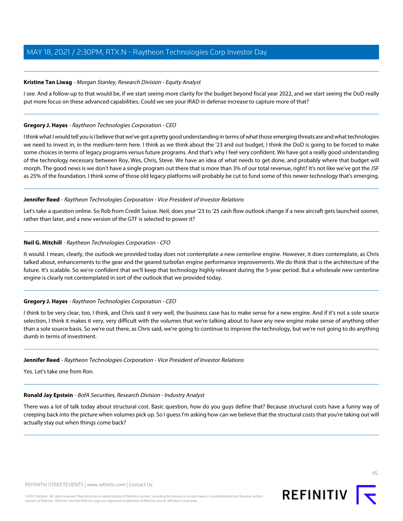#### **Kristine Tan Liwag** - Morgan Stanley, Research Division - Equity Analyst

I see. And a follow-up to that would be, if we start seeing more clarity for the budget beyond fiscal year 2022, and we start seeing the DoD really put more focus on these advanced capabilities. Could we see your IRAD in defense increase to capture more of that?

#### **Gregory J. Hayes** - Raytheon Technologies Corporation - CEO

I think what I would tell you is I believe that we've got a pretty good understanding in terms of what those emerging threats are and what technologies we need to invest in, in the medium-term here. I think as we think about the '23 and out budget, I think the DoD is going to be forced to make some choices in terms of legacy programs versus future programs. And that's why I feel very confident. We have got a really good understanding of the technology necessary between Roy, Wes, Chris, Steve. We have an idea of what needs to get done, and probably where that budget will morph. The good news is we don't have a single program out there that is more than 3% of our total revenue, right? It's not like we've got the JSF as 25% of the foundation. I think some of those old legacy platforms will probably be cut to fund some of this newer technology that's emerging.

#### **Jennifer Reed** - Raytheon Technologies Corporation - Vice President of Investor Relations

Let's take a question online. So Rob from Credit Suisse. Neil, does your '23 to '25 cash flow outlook change if a new aircraft gets launched sooner, rather than later, and a new version of the GTF is selected to power it?

### **Neil G. Mitchill** - Raytheon Technologies Corporation - CFO

It would. I mean, clearly, the outlook we provided today does not contemplate a new centerline engine. However, it does contemplate, as Chris talked about, enhancements to the gear and the geared turbofan engine performance improvements. We do think that is the architecture of the future. It's scalable. So we're confident that we'll keep that technology highly relevant during the 5-year period. But a wholesale new centerline engine is clearly not contemplated in sort of the outlook that we provided today.

### **Gregory J. Hayes** - Raytheon Technologies Corporation - CEO

I think to be very clear, too, I think, and Chris said it very well, the business case has to make sense for a new engine. And if it's not a sole source selection, I think it makes it very, very difficult with the volumes that we're talking about to have any new engine make sense of anything other than a sole source basis. So we're out there, as Chris said, we're going to continue to improve the technology, but we're not going to do anything dumb in terms of investment.

#### **Jennifer Reed** - Raytheon Technologies Corporation - Vice President of Investor Relations

Yes. Let's take one from Ron.

### **Ronald Jay Epstein** - BofA Securities, Research Division - Industry Analyst

There was a lot of talk today about structural cost. Basic question, how do you guys define that? Because structural costs have a funny way of creeping back into the picture when volumes pick up. So I guess I'm asking how can we believe that the structural costs that you're taking out will actually stay out when things come back?

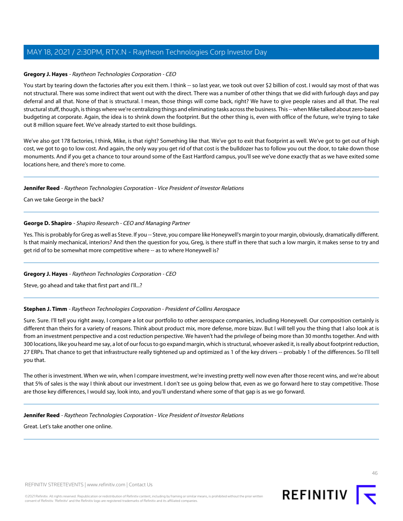### **Gregory J. Hayes** - Raytheon Technologies Corporation - CEO

You start by tearing down the factories after you exit them. I think -- so last year, we took out over \$2 billion of cost. I would say most of that was not structural. There was some indirect that went out with the direct. There was a number of other things that we did with furlough days and pay deferral and all that. None of that is structural. I mean, those things will come back, right? We have to give people raises and all that. The real structural stuff, though, is things where we're centralizing things and eliminating tasks across the business. This -- when Mike talked about zero-based budgeting at corporate. Again, the idea is to shrink down the footprint. But the other thing is, even with office of the future, we're trying to take out 8 million square feet. We've already started to exit those buildings.

We've also got 178 factories, I think, Mike, is that right? Something like that. We've got to exit that footprint as well. We've got to get out of high cost, we got to go to low cost. And again, the only way you get rid of that cost is the bulldozer has to follow you out the door, to take down those monuments. And if you get a chance to tour around some of the East Hartford campus, you'll see we've done exactly that as we have exited some locations here, and there's more to come.

#### **Jennifer Reed** - Raytheon Technologies Corporation - Vice President of Investor Relations

Can we take George in the back?

### **George D. Shapiro** - Shapiro Research - CEO and Managing Partner

Yes. This is probably for Greg as well as Steve. If you -- Steve, you compare like Honeywell's margin to your margin, obviously, dramatically different. Is that mainly mechanical, interiors? And then the question for you, Greg, is there stuff in there that such a low margin, it makes sense to try and get rid of to be somewhat more competitive where -- as to where Honeywell is?

### **Gregory J. Hayes** - Raytheon Technologies Corporation - CEO

Steve, go ahead and take that first part and I'll...?

#### **Stephen J. Timm** - Raytheon Technologies Corporation - President of Collins Aerospace

Sure. Sure. I'll tell you right away, I compare a lot our portfolio to other aerospace companies, including Honeywell. Our composition certainly is different than theirs for a variety of reasons. Think about product mix, more defense, more bizav. But I will tell you the thing that I also look at is from an investment perspective and a cost reduction perspective. We haven't had the privilege of being more than 30 months together. And with 300 locations, like you heard me say, a lot of our focus to go expand margin, which is structural, whoever asked it, is really about footprint reduction, 27 ERPs. That chance to get that infrastructure really tightened up and optimized as 1 of the key drivers -- probably 1 of the differences. So I'll tell you that.

The other is investment. When we win, when I compare investment, we're investing pretty well now even after those recent wins, and we're about that 5% of sales is the way I think about our investment. I don't see us going below that, even as we go forward here to stay competitive. Those are those key differences, I would say, look into, and you'll understand where some of that gap is as we go forward.

#### **Jennifer Reed** - Raytheon Technologies Corporation - Vice President of Investor Relations

Great. Let's take another one online.



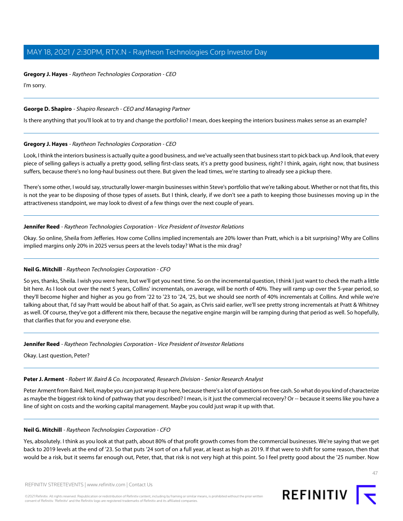### **Gregory J. Hayes** - Raytheon Technologies Corporation - CEO

I'm sorry.

### **George D. Shapiro** - Shapiro Research - CEO and Managing Partner

Is there anything that you'll look at to try and change the portfolio? I mean, does keeping the interiors business makes sense as an example?

#### **Gregory J. Hayes** - Raytheon Technologies Corporation - CEO

Look, I think the interiors business is actually quite a good business, and we've actually seen that business start to pick back up. And look, that every piece of selling galleys is actually a pretty good, selling first-class seats, it's a pretty good business, right? I think, again, right now, that business suffers, because there's no long-haul business out there. But given the lead times, we're starting to already see a pickup there.

There's some other, I would say, structurally lower-margin businesses within Steve's portfolio that we're talking about. Whether or not that fits, this is not the year to be disposing of those types of assets. But I think, clearly, if we don't see a path to keeping those businesses moving up in the attractiveness standpoint, we may look to divest of a few things over the next couple of years.

#### **Jennifer Reed** - Raytheon Technologies Corporation - Vice President of Investor Relations

Okay. So online, Sheila from Jefferies. How come Collins implied incrementals are 20% lower than Pratt, which is a bit surprising? Why are Collins implied margins only 20% in 2025 versus peers at the levels today? What is the mix drag?

### **Neil G. Mitchill** - Raytheon Technologies Corporation - CFO

So yes, thanks, Sheila. I wish you were here, but we'll get you next time. So on the incremental question, I think I just want to check the math a little bit here. As I look out over the next 5 years, Collins' incrementals, on average, will be north of 40%. They will ramp up over the 5-year period, so they'll become higher and higher as you go from '22 to '23 to '24, '25, but we should see north of 40% incrementals at Collins. And while we're talking about that, I'd say Pratt would be about half of that. So again, as Chris said earlier, we'll see pretty strong incrementals at Pratt & Whitney as well. Of course, they've got a different mix there, because the negative engine margin will be ramping during that period as well. So hopefully, that clarifies that for you and everyone else.

### **Jennifer Reed** - Raytheon Technologies Corporation - Vice President of Investor Relations

Okay. Last question, Peter?

### **Peter J. Arment** - Robert W. Baird & Co. Incorporated, Research Division - Senior Research Analyst

Peter Arment from Baird. Neil, maybe you can just wrap it up here, because there's a lot of questions on free cash. So what do you kind of characterize as maybe the biggest risk to kind of pathway that you described? I mean, is it just the commercial recovery? Or -- because it seems like you have a line of sight on costs and the working capital management. Maybe you could just wrap it up with that.

#### **Neil G. Mitchill** - Raytheon Technologies Corporation - CFO

Yes, absolutely. I think as you look at that path, about 80% of that profit growth comes from the commercial businesses. We're saying that we get back to 2019 levels at the end of '23. So that puts '24 sort of on a full year, at least as high as 2019. If that were to shift for some reason, then that would be a risk, but it seems far enough out, Peter, that, that risk is not very high at this point. So I feel pretty good about the '25 number. Now